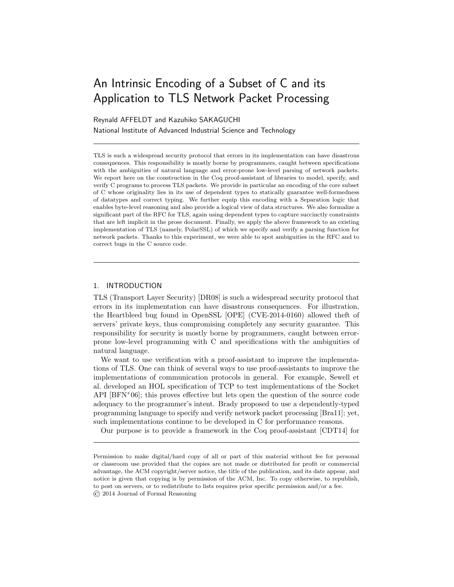# An Intrinsic Encoding of a Subset of C and its Application to TLS Network Packet Processing

## Reynald AFFELDT and Kazuhiko SAKAGUCHI

National Institute of Advanced Industrial Science and Technology

TLS is such a widespread security protocol that errors in its implementation can have disastrous consequences. This responsibility is mostly borne by programmers, caught between specifications with the ambiguities of natural language and error-prone low-level parsing of network packets. We report here on the construction in the Coq proof-assistant of libraries to model, specify, and verify C programs to process TLS packets. We provide in particular an encoding of the core subset of C whose originality lies in its use of dependent types to statically guarantee well-formedness of datatypes and correct typing. We further equip this encoding with a Separation logic that enables byte-level reasoning and also provide a logical view of data structures. We also formalize a significant part of the RFC for TLS, again using dependent types to capture succinctly constraints that are left implicit in the prose document. Finally, we apply the above framework to an existing implementation of TLS (namely, PolarSSL) of which we specify and verify a parsing function for network packets. Thanks to this experiment, we were able to spot ambiguities in the RFC and to correct bugs in the C source code.

## 1. INTRODUCTION

TLS (Transport Layer Security) [DR08] is such a widespread security protocol that errors in its implementation can have disastrous consequences. For illustration, the Heartbleed bug found in OpenSSL [OPE] (CVE-2014-0160) allowed theft of servers' private keys, thus compromising completely any security guarantee. This responsibility for security is mostly borne by programmers, caught between errorprone low-level programming with C and specifications with the ambiguities of natural language.

We want to use verification with a proof-assistant to improve the implementations of TLS. One can think of several ways to use proof-assistants to improve the implementations of communication protocols in general. For example, Sewell et al. developed an HOL specification of TCP to test implementations of the Socket API [BFN<sup>+</sup> 06]; this proves effective but lets open the question of the source code adequacy to the programmer's intent. Brady proposed to use a dependently-typed programming language to specify and verify network packet processing [Bra11]; yet, such implementations continue to be developed in C for performance reasons.

Our purpose is to provide a framework in the Coq proof-assistant [CDT14] for

Permission to make digital/hard copy of all or part of this material without fee for personal or classroom use provided that the copies are not made or distributed for profit or commercial advantage, the ACM copyright/server notice, the title of the publication, and its date appear, and notice is given that copying is by permission of the ACM, Inc. To copy otherwise, to republish, to post on servers, or to redistribute to lists requires prior specific permission and/or a fee. © 2014 Journal of Formal Reasoning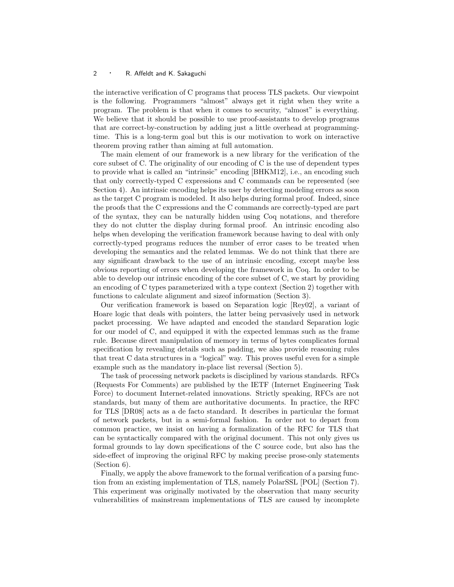the interactive verification of C programs that process TLS packets. Our viewpoint is the following. Programmers "almost" always get it right when they write a program. The problem is that when it comes to security, "almost" is everything. We believe that it should be possible to use proof-assistants to develop programs that are correct-by-construction by adding just a little overhead at programmingtime. This is a long-term goal but this is our motivation to work on interactive theorem proving rather than aiming at full automation.

The main element of our framework is a new library for the verification of the core subset of C. The originality of our encoding of C is the use of dependent types to provide what is called an "intrinsic" encoding [BHKM12], i.e., an encoding such that only correctly-typed C expressions and C commands can be represented (see Section 4). An intrinsic encoding helps its user by detecting modeling errors as soon as the target C program is modeled. It also helps during formal proof. Indeed, since the proofs that the C expressions and the C commands are correctly-typed are part of the syntax, they can be naturally hidden using Coq notations, and therefore they do not clutter the display during formal proof. An intrinsic encoding also helps when developing the verification framework because having to deal with only correctly-typed programs reduces the number of error cases to be treated when developing the semantics and the related lemmas. We do not think that there are any significant drawback to the use of an intrinsic encoding, except maybe less obvious reporting of errors when developing the framework in Coq. In order to be able to develop our intrinsic encoding of the core subset of C, we start by providing an encoding of C types parameterized with a type context (Section 2) together with functions to calculate alignment and sizeof information (Section 3).

Our verification framework is based on Separation logic [Rey02], a variant of Hoare logic that deals with pointers, the latter being pervasively used in network packet processing. We have adapted and encoded the standard Separation logic for our model of C, and equipped it with the expected lemmas such as the frame rule. Because direct manipulation of memory in terms of bytes complicates formal specification by revealing details such as padding, we also provide reasoning rules that treat C data structures in a "logical" way. This proves useful even for a simple example such as the mandatory in-place list reversal (Section 5).

The task of processing network packets is disciplined by various standards. RFCs (Requests For Comments) are published by the IETF (Internet Engineering Task Force) to document Internet-related innovations. Strictly speaking, RFCs are not standards, but many of them are authoritative documents. In practice, the RFC for TLS [DR08] acts as a de facto standard. It describes in particular the format of network packets, but in a semi-formal fashion. In order not to depart from common practice, we insist on having a formalization of the RFC for TLS that can be syntactically compared with the original document. This not only gives us formal grounds to lay down specifications of the C source code, but also has the side-effect of improving the original RFC by making precise prose-only statements (Section 6).

Finally, we apply the above framework to the formal verification of a parsing function from an existing implementation of TLS, namely PolarSSL [POL] (Section 7). This experiment was originally motivated by the observation that many security vulnerabilities of mainstream implementations of TLS are caused by incomplete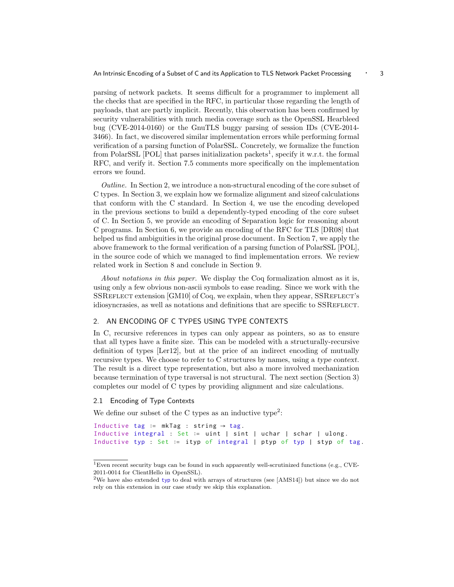parsing of network packets. It seems difficult for a programmer to implement all the checks that are specified in the RFC, in particular those regarding the length of payloads, that are partly implicit. Recently, this observation has been confirmed by security vulnerabilities with much media coverage such as the OpenSSL Hearbleed bug (CVE-2014-0160) or the GnuTLS buggy parsing of session IDs (CVE-2014- 3466). In fact, we discovered similar implementation errors while performing formal verification of a parsing function of PolarSSL. Concretely, we formalize the function from PolarSSL  $[POL]$  that parses initialization packets<sup>1</sup>, specify it w.r.t. the formal RFC, and verify it. Section 7.5 comments more specifically on the implementation errors we found.

Outline. In Section 2, we introduce a non-structural encoding of the core subset of C types. In Section 3, we explain how we formalize alignment and sizeof calculations that conform with the C standard. In Section 4, we use the encoding developed in the previous sections to build a dependently-typed encoding of the core subset of C. In Section 5, we provide an encoding of Separation logic for reasoning about C programs. In Section 6, we provide an encoding of the RFC for TLS [DR08] that helped us find ambiguities in the original prose document. In Section 7, we apply the above framework to the formal verification of a parsing function of PolarSSL [POL], in the source code of which we managed to find implementation errors. We review related work in Section 8 and conclude in Section 9.

About notations in this paper. We display the Coq formalization almost as it is, using only a few obvious non-ascii symbols to ease reading. Since we work with the SSREFLECT extension [GM10] of Coq, we explain, when they appear, SSREFLECT's idiosyncrasies, as well as notations and definitions that are specific to SSREFLECT.

#### 2. AN ENCODING OF C TYPES USING TYPE CONTEXTS

In C, recursive references in types can only appear as pointers, so as to ensure that all types have a finite size. This can be modeled with a structurally-recursive definition of types [Ler12], but at the price of an indirect encoding of mutually recursive types. We choose to refer to C structures by names, using a type context. The result is a direct type representation, but also a more involved mechanization because termination of type traversal is not structural. The next section (Section 3) completes our model of C types by providing alignment and size calculations.

#### 2.1 Encoding of Type Contexts

We define our subset of the C types as an inductive type<sup>2</sup>:

```
Inductive tag := mkTag : string \rightarrow tag.
Inductive integral : Set ∶= uint | sint | uchar | schar | ulong .
Inductive typ : Set ∶= ityp of integral | ptyp of typ | styp of tag.
```
 $^1\rm{Even}$  recent security bugs can be found in such apparently well-scrutinized functions (e.g., CVE-2011-0014 for ClientHello in OpenSSL).

<sup>&</sup>lt;sup>2</sup>We have also extended typ to deal with arrays of structures (see [AMS14]) but since we do not rely on this extension in our case study we skip this explanation.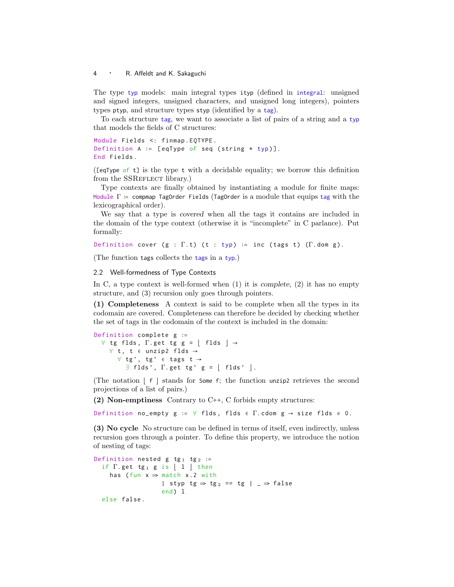The type typ models: main integral types ityp (defined in integral: unsigned and signed integers, unsigned characters, and unsigned long integers), pointers types ptyp, and structure types styp (identified by a tag).

To each structure tag, we want to associate a list of pairs of a string and a typ that models the fields of C structures:

Module Fields <: finmap . EQTYPE . Definition A ∶= [ eqType of seq ( string \* typ )]. End Fields .

([eqType of t] is the type t with a decidable equality; we borrow this definition from the SSREFLECT library.)

Type contexts are finally obtained by instantiating a module for finite maps: Module  $\Gamma$  := compmap TagOrder Fields (TagOrder is a module that equips tag with the lexicographical order).

We say that a type is covered when all the tags it contains are included in the domain of the type context (otherwise it is "incomplete" in C parlance). Put formally:

Definition cover ( $g : \Gamma.t$ ) (t : typ) := inc (tags t) ( $\Gamma$ .dom g).

(The function tags collects the tags in a typ.)

#### 2.2 Well-formedness of Type Contexts

In C, a type context is well-formed when  $(1)$  it is *complete*,  $(2)$  it has no empty structure, and (3) recursion only goes through pointers.

(1) Completeness A context is said to be complete when all the types in its codomain are covered. Completeness can therefore be decided by checking whether the set of tags in the codomain of the context is included in the domain:

```
Definition complete g ∶=
  \forall tg flds, \Gamma. get tg g = | flds | →
    ∀ t , t ∈ unzip2 flds →
       \forall tg', tg' ∈ tags t →
          \exists flds', \Gamma. get tg' g = \vert flds' \vert.
```
(The notation  $|f|$  stands for Some f; the function unzip2 retrieves the second projections of a list of pairs.)

(2) Non-emptiness Contrary to C++, C forbids empty structures:

Definition no\_empty g :=  $\forall$  flds, flds  $\in$   $\Gamma$ . cdom g  $\rightarrow$  size flds  $\neq$  0.

(3) No cycle No structure can be defined in terms of itself, even indirectly, unless recursion goes through a pointer. To define this property, we introduce the notion of nesting of tags:

```
Definition nested g tg<sub>1</sub> tg<sub>2</sub> :=
   if \Gamma. get tg<sub>1</sub> g is | 1 | then
      has (fun x \Rightarrow match x.2 with
                            | styp tg \Rightarrow tg<sub>2</sub> == tg | _ \Rightarrow false
                            end \lambda 1
   else false .
```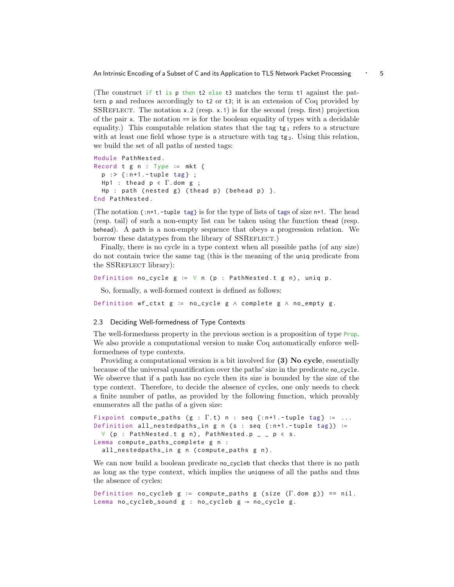An Intrinsic Encoding of a Subset of C and its Application to TLS Network Packet Processing ⋅ 5

(The construct if t1 is p then t2 else t3 matches the term t1 against the pattern p and reduces accordingly to t2 or t3; it is an extension of Coq provided by SSREFLECT. The notation  $x.2$  (resp.  $x.1$ ) is for the second (resp. first) projection of the pair  $x$ . The notation  $=$  is for the boolean equality of types with a decidable equality.) This computable relation states that the tag  $tg_1$  refers to a structure with at least one field whose type is a structure with tag  $tg_2$ . Using this relation, we build the set of all paths of nested tags:

```
Module PathNested .
Record t g n : Type := mkt {
  p :> {:n+1.-tuple tag} ;
 Hp1 : thead p ∈ Γ. dom g ;
  Hp : path (nested g) (thead p) (behead p) }.
End PathNested .
```
(The notation  $\{\cdot\}$ n+1.-tuple tag} is for the type of lists of tags of size n+1. The head (resp. tail) of such a non-empty list can be taken using the function thead (resp. behead). A path is a non-empty sequence that obeys a progression relation. We borrow these datatypes from the library of SSREFLECT.

Finally, there is no cycle in a type context when all possible paths (of any size) do not contain twice the same tag (this is the meaning of the uniq predicate from the SSREFLECT library):

```
Definition no_cycle g := ∀ n (p : PathNested.t g n), uniq p.
```
So, formally, a well-formed context is defined as follows:

Definition wf\_ctxt  $g := no\_cycle$  g  $\wedge$  complete  $g \wedge no\_empty$ g.

#### 2.3 Deciding Well-formedness of Type Contexts

The well-formedness property in the previous section is a proposition of type Prop. We also provide a computational version to make Coq automatically enforce wellformedness of type contexts.

Providing a computational version is a bit involved for (3) No cycle, essentially because of the universal quantification over the paths' size in the predicate no\_cycle. We observe that if a path has no cycle then its size is bounded by the size of the type context. Therefore, to decide the absence of cycles, one only needs to check a finite number of paths, as provided by the following function, which provably enumerates all the paths of a given size:

```
Fixpoint compute_paths (g : \Gamma.t) n : seq {:n+1.-tuple tag} := ...
Definition all_nestedpaths_in g n (s : seq {:n+1.-tuple tag}) :=
  \forall (p : PathNested.t g n), PathNested.p _ _ p \in s.
Lemma compute_paths_complete g n :
  all_nestedpaths_in g n (compute_paths g n).
```
We can now build a boolean predicate no\_cycleb that checks that there is no path as long as the type context, which implies the uniqness of all the paths and thus the absence of cycles:

```
Definition no_cycleb g := compute_paths g (size (\Gamma.dom g)) == nil.
Lemma no_cycleb_sound g : no\_cycleb g \rightarrow no\_cycle g.
```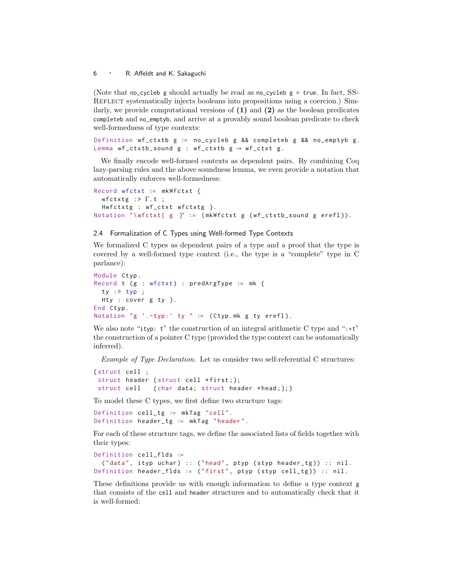(Note that no\_cycleb g should actually be read as no\_cycleb  $g = true$ . In fact, SS-REFLECT systematically injects booleans into propositions using a coercion.) Similarly, we provide computational versions of  $(1)$  and  $(2)$  as the boolean predicates completeb and no\_emptyb, and arrive at a provably sound boolean predicate to check well-formedness of type contexts:

Definition wf\_ctxtb g ∶= no\_cycleb g && completeb g && no\_emptyb g . Lemma wf\_ctxtb\_sound  $g : wf_c$ ctxtb  $g \rightarrow wf_c$ ctxt  $g$ .

We finally encode well-formed contexts as dependent pairs. By combining Coq lazy-parsing rules and the above soundness lemma, we even provide a notation that automatically enforces well-formedness:

```
Record wfctxt ∶= mkWfctxt {
  wfctxtg : \Gamma.t ;
  Hwfctxtg : wf_ctxt wfctxtg }.
Notation "\wfctxt{ g }" := (mkWfctxt g (wf_ctxtb_sound g erefl)).
```
#### 2.4 Formalization of C Types using Well-formed Type Contexts

We formalized C types as dependent pairs of a type and a proof that the type is covered by a well-formed type context (i.e., the type is a "complete" type in C parlance):

```
Module Ctyp .
Record t (g : wfctxt) : predArgType := mk {
 ty : typ :Hty : cover g ty }.
End Ctyp .
Notation "g '.-typ:' ty " := (Ctyp.mk g ty erefl).
```
We also note "ityp: t" the construction of an integral arithmetic C type and ":∗t" the construction of a pointer C type (provided the type context can be automatically inferred).

Example of Type Declaration. Let us consider two self-referential C structures:

```
{ struct cell ;
 struct header { struct cell *first; };
 struct cell { char data; struct header *head; }; }
```
To model these C types, we first define two structure tags:

```
Definition cell_tg ∶= mkTag " cell ".
Definition header_tg ∶= mkTag " header ".
```
For each of these structure tags, we define the associated lists of fields together with their types:

```
Definition cell_flds ∶=
 ("data", ityp uchar) :: ("head", ptyp (styp header_tg)) :: nil.
Definition header_flds := ("first", ptyp (styp cell_tg)) :: nil.
```
These definitions provide us with enough information to define a type context g that consists of the cell and header structures and to automatically check that it is well-formed: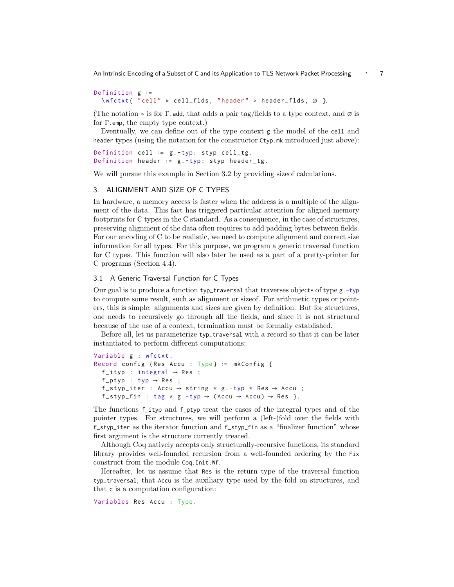An Intrinsic Encoding of a Subset of C and its Application to TLS Network Packet Processing • 7

```
Definition g ∶=
  \ wfctxt { " cell " ▹ cell_flds , " header " ▹ header_flds , ∅ }.
```
(The notation  $\triangleright$  is for  $\Gamma$ .add, that adds a pair tag/fields to a type context, and  $\varnothing$  is for Γ.emp, the empty type context.)

Eventually, we can define out of the type context g the model of the cell and header types (using the notation for the constructor Ctyp.mk introduced just above):

```
Definition cell := g.-typ: styp cell_tg.
Definition header ∶= g . -typ: styp header_tg .
```
We will pursue this example in Section 3.2 by providing sizeof calculations.

#### 3. ALIGNMENT AND SIZE OF C TYPES

In hardware, a memory access is faster when the address is a multiple of the alignment of the data. This fact has triggered particular attention for aligned memory footprints for C types in the C standard. As a consequence, in the case of structures, preserving alignment of the data often requires to add padding bytes between fields. For our encoding of C to be realistic, we need to compute alignment and correct size information for all types. For this purpose, we program a generic traversal function for C types. This function will also later be used as a part of a pretty-printer for C programs (Section 4.4).

#### 3.1 A Generic Traversal Function for C Types

Our goal is to produce a function typ\_traversal that traverses objects of type g.-typ to compute some result, such as alignment or sizeof. For arithmetic types or pointers, this is simple: alignments and sizes are given by definition. But for structures, one needs to recursively go through all the fields, and since it is not structural because of the use of a context, termination must be formally established.

Before all, let us parameterize typ\_traversal with a record so that it can be later instantiated to perform different computations:

```
Variable g : wfctxt .
Record config { Res Accu : Type } ∶= mkConfig {
  f_ityp : integral \rightarrow Res ;
  f<sub>-</sub>ptyp : typ \rightarrow Res ;
  f_styp_iter : Accu \rightarrow string * g.-typ * Res \rightarrow Accu ;
  f_styp_fin : tag * g.-typ \rightarrow (Accu \rightarrow Accu) \rightarrow Res }.
```
The functions f\_ityp and f\_ptyp treat the cases of the integral types and of the pointer types. For structures, we will perform a (left-)fold over the fields with f\_styp\_iter as the iterator function and f\_styp\_fin as a "finalizer function" whose first argument is the structure currently treated.

Although Coq natively accepts only structurally-recursive functions, its standard library provides well-founded recursion from a well-founded ordering by the Fix construct from the module Coq.Init.Wf.

Hereafter, let us assume that Res is the return type of the traversal function typ\_traversal, that Accu is the auxiliary type used by the fold on structures, and that c is a computation configuration:

Variables Res Accu : Type .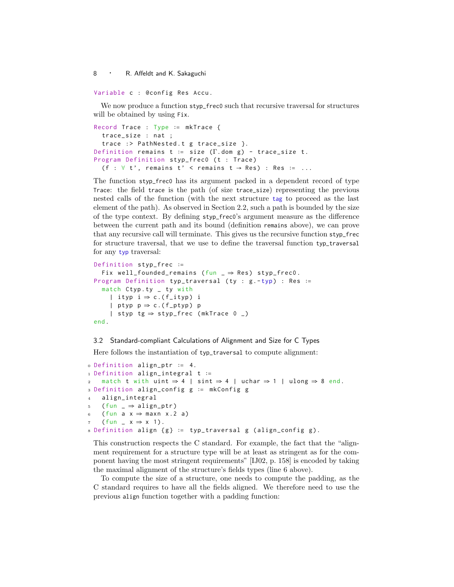Variable c : @config Res Accu .

We now produce a function styp\_frec0 such that recursive traversal for structures will be obtained by using Fix.

```
Record Trace : Type ∶= mkTrace {
  trace_size : nat ;
  trace :> PathNested.t g trace_size }.
Definition remains t := size (\Gamma. dom g) - trace_size t.
Program Definition styp_frec0 (t : Trace)
  (f : \forall t', remains t' < remains t \rightarrow Res) : Res := ...
```
The function styp\_frec0 has its argument packed in a dependent record of type Trace: the field trace is the path (of size trace\_size) representing the previous nested calls of the function (with the next structure tag to proceed as the last element of the path). As observed in Section 2.2, such a path is bounded by the size of the type context. By defining styp\_frec0's argument measure as the difference between the current path and its bound (definition remains above), we can prove that any recursive call will terminate. This gives us the recursive function styp\_frec for structure traversal, that we use to define the traversal function typ\_traversal for any typ traversal:

```
Definition styp_frec ∶=
  Fix well_founded_remains (fun \Rightarrow Res) styp_frec0.
Program Definition typ_traversal ( ty : g . -typ) : Res ∶=
  match Ctyp.ty _ ty with
    | ityp i \Rightarrow c.(f_ityp) i
    | ptyp p \Rightarrow c.(f_ptyp) p
    | styp tg ⇒ styp_frec ( mkTrace 0 _ )
end .
```
## 3.2 Standard-compliant Calculations of Alignment and Size for C Types

Here follows the instantiation of typ\_traversal to compute alignment:

```
0 Definition align_ptr ∶= 4.
1 Definition align_integral t ∶=
2 match t with uint \Rightarrow 4 | sint \Rightarrow 4 | uchar \Rightarrow 1 | ulong \Rightarrow 8 end.
3 Definition align_config g ∶= mkConfig g
4 align_integral
5 ( fun \Rightarrow align_ptr)
6 ( fun a x \Rightarrow maxn x.2 a)
    (fun \_ x \Rightarrow x 1).8 Definition align { g } ∶= typ_traversal g ( align_config g ).
```
This construction respects the C standard. For example, the fact that the "alignment requirement for a structure type will be at least as stringent as for the component having the most stringent requirements" [IJ02, p. 158] is encoded by taking the maximal alignment of the structure's fields types (line 6 above).

To compute the size of a structure, one needs to compute the padding, as the C standard requires to have all the fields aligned. We therefore need to use the previous align function together with a padding function: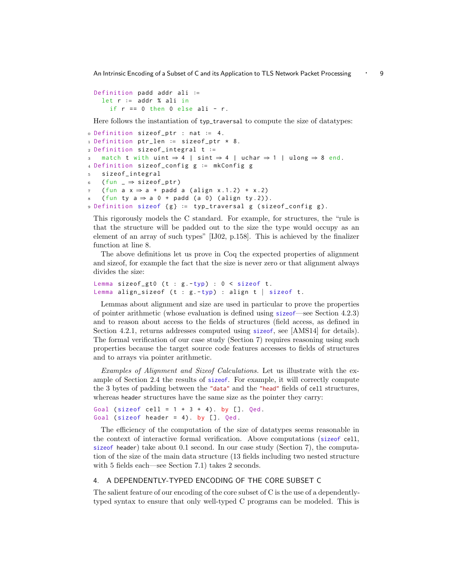An Intrinsic Encoding of a Subset of C and its Application to TLS Network Packet Processing • 9

```
Definition padd addr ali ∶=
 let r ∶= addr % ali in
   if r = 0 then 0 else ali - r.
```
Here follows the instantiation of typ\_traversal to compute the size of datatypes:

```
0 Definition sizeof_ptr : nat ∶= 4.
1 Definition ptr_len ∶= sizeof_ptr * 8.
2 Definition sizeof_integral t ∶=
3 match t with uint \Rightarrow 4 | sint \Rightarrow 4 | uchar \Rightarrow 1 | ulong \Rightarrow 8 end.
4 Definition sizeof_config g ∶= mkConfig g
5 sizeof_integral
6 ( fun \Rightarrow sizeof_ptr)
   ( fun a x \Rightarrow a + padd a ( align x.1.2) + x.2)
   ( fun ty a \Rightarrow a 0 + pad ( a 0) ( align ty .2)).
9 Definition sizeof {g} := typ_traversal g (sizeof_config g).
```
This rigorously models the C standard. For example, for structures, the "rule is that the structure will be padded out to the size the type would occupy as an element of an array of such types" [IJ02, p.158]. This is achieved by the finalizer function at line 8.

The above definitions let us prove in Coq the expected properties of alignment and sizeof, for example the fact that the size is never zero or that alignment always divides the size:

```
Lemma sizeof_gt0 (t : g.-typ) : 0 < sizeof t.
Lemma align_sizeof (t : g.-typ) : align t | sizeof t.
```
Lemmas about alignment and size are used in particular to prove the properties of pointer arithmetic (whose evaluation is defined using sizeof—see Section 4.2.3) and to reason about access to the fields of structures (field access, as defined in Section 4.2.1, returns addresses computed using sizeof, see [AMS14] for details). The formal verification of our case study (Section 7) requires reasoning using such properties because the target source code features accesses to fields of structures and to arrays via pointer arithmetic.

Examples of Alignment and Sizeof Calculations. Let us illustrate with the example of Section 2.4 the results of sizeof. For example, it will correctly compute the 3 bytes of padding between the "data" and the "head" fields of cell structures, whereas header structures have the same size as the pointer they carry:

```
Goal (sizeof cell = 1 + 3 + 4). by []. Qed.
Goal (sizeof header = 4). by []. Qed.
```
The efficiency of the computation of the size of datatypes seems reasonable in the context of interactive formal verification. Above computations (sizeof cell, sizeof header) take about 0.1 second. In our case study (Section 7), the computation of the size of the main data structure (13 fields including two nested structure with 5 fields each—see Section 7.1) takes 2 seconds.

## 4. A DEPENDENTLY-TYPED ENCODING OF THE CORE SUBSET C

The salient feature of our encoding of the core subset of C is the use of a dependentlytyped syntax to ensure that only well-typed C programs can be modeled. This is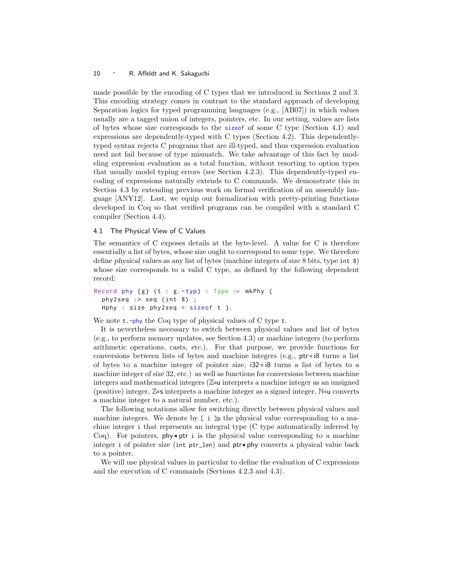made possible by the encoding of C types that we introduced in Sections 2 and 3. This encoding strategy comes in contrast to the standard approach of developing Separation logics for typed programming languages (e.g., [AB07]) in which values usually are a tagged union of integers, pointers, etc. In our setting, values are lists of bytes whose size corresponds to the sizeof of some C type (Section 4.1) and expressions are dependently-typed with C types (Section 4.2). This dependentlytyped syntax rejects C programs that are ill-typed, and thus expression evaluation need not fail because of type mismatch. We take advantage of this fact by modeling expression evaluation as a total function, without resorting to option types that usually model typing errors (see Section 4.2.3). This dependently-typed encoding of expressions naturally extends to C commands. We demonstrate this in Section 4.3 by extending previous work on formal verification of an assembly language [ANY12]. Last, we equip our formalization with pretty-printing functions developed in Coq so that verified programs can be compiled with a standard C compiler (Section 4.4).

#### 4.1 The Physical View of C Values

The semantics of C exposes details at the byte-level. A value for C is therefore essentially a list of bytes, whose size ought to correspond to some type. We therefore define physical values as any list of bytes (machine integers of size 8 bits, type int 8) whose size corresponds to a valid C type, as defined by the following dependent record:

```
Record phy \{g\} (t : g . - typ) : Type := mkPhy {
  phy2seq : > seq (int 8);
  Hphy : size phy2seq = sizeof t }.
```
We note t.-phy the Coq type of physical values of C type t.

It is nevertheless necessary to switch between physical values and list of bytes (e.g., to perform memory updates, see Section 4.3) or machine integers (to perform arithmetic operations, casts, etc.). For that purpose, we provide functions for conversions between lists of bytes and machine integers (e.g.,  $ptr \triangleleft 8$  turns a list of bytes to a machine integer of pointer size, i32 ◃ i8 turns a list of bytes to a machine integer of size 32, etc.) as well as functions for conversions between machine integers and mathematical integers ( $\mathbb{Z}$ u interprets a machine integer as an unsigned (positive) integer,  $\mathbb{Z}$  is interprets a machine integer as a signed integer,  $\mathbb{N}$  is converts a machine integer to a natural number, etc.).

The following notations allow for switching directly between physical values and machine integers. We denote by  $\lceil i \rceil$  i  $\lceil p \rceil$  the physical value corresponding to a machine integer i that represents an integral type (C type automatically inferred by Coq). For pointers, phy $\bullet$ ptr i is the physical value corresponding to a machine integer i of pointer size (int ptr\_len) and ptr◂phy converts a physical value back to a pointer.

We will use physical values in particular to define the evaluation of C expressions and the execution of C commands (Sections 4.2.3 and 4.3).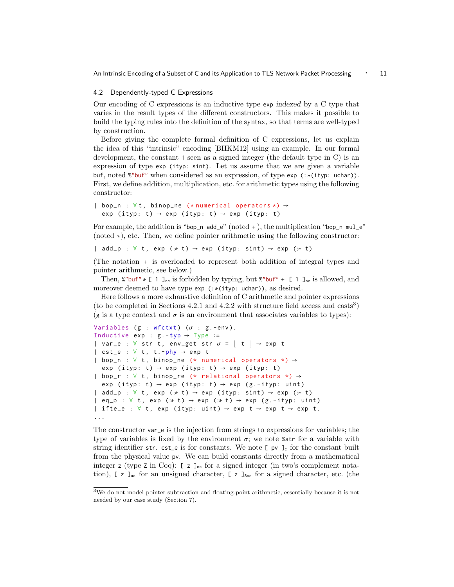An Intrinsic Encoding of a Subset of C and its Application to TLS Network Packet Processing ⋅ 11

#### 4.2 Dependently-typed C Expressions

Our encoding of C expressions is an inductive type exp indexed by a C type that varies in the result types of the different constructors. This makes it possible to build the typing rules into the definition of the syntax, so that terms are well-typed by construction.

Before giving the complete formal definition of C expressions, let us explain the idea of this "intrinsic" encoding [BHKM12] using an example. In our formal development, the constant 1 seen as a signed integer (the default type in C) is an expression of type exp (ityp: sint). Let us assume that we are given a variable buf, noted %"buf" when considered as an expression, of type exp (:∗(ityp: uchar)). First, we define addition, multiplication, etc. for arithmetic types using the following constructor:

```
| bop_n : ∀t , binop_ne (* numerical operators *) →
  exp (ityp: t) \rightarrow exp (ityp: t) \rightarrow exp (ityp: t)
```
For example, the addition is "bop\_n add\_e" (noted +), the multiplication "bop\_n  $mul_e$ " (noted ∗), etc. Then, we define pointer arithmetic using the following constructor:

| add\_p :  $\forall$  t, exp (:\* t) → exp (ityp: sint) → exp (:\* t)

(The notation + is overloaded to represent both addition of integral types and pointer arithmetic, see below.)

Then, %"buf"  $*$  [ 1 ]<sub>sc</sub> is forbidden by typing, but %"buf" + [ 1 ]<sub>sc</sub> is allowed, and moreover deemed to have type exp (:∗(ityp: uchar)), as desired.

Here follows a more exhaustive definition of C arithmetic and pointer expressions (to be completed in Sections 4.2.1 and 4.2.2 with structure field access and  $\text{casts}^3$ ) (g is a type context and  $\sigma$  is an environment that associates variables to types):

```
Variables (g : wfctxt) (\sigma : g.-env).
Inductive exp : g.-typ \rightarrow Type :=| var_e : \forall str t, env_get str \sigma = | t | \rightarrow e^{i\phi} t
\vert cst_e : \forall t, t.-phy \rightarrow exp t
| bop_n : \forall t, binop_ne (* numerical operators *) \rightarrowexp (ityp: t) \rightarrow exp (ityp: t) \rightarrow exp (ityp: t)
| bop_r : ∀ t , binop_re (* relational operators *) →
  exp (ityp: t) \rightarrow exp (ityp: t) \rightarrow exp (g.-ityp: uint)
| add_p : \forall t, exp (:* t) → exp (ityp: sint) → exp (:* t)
\vert eq_p : \forall t, exp (:* t) → exp (:* t) → exp (g.-ityp: uint)
| ifte_e : \forall t, exp (ityp: uint) \rightarrow exp t \rightarrow exp t \rightarrow exp t.
...
```
The constructor var\_e is the injection from strings to expressions for variables; the type of variables is fixed by the environment  $\sigma$ ; we note  $\ast$ str for a variable with string identifier str. cst\_e is for constants. We note  $[p \nu]_c$  for the constant built from the physical value pv. We can build constants directly from a mathematical integer z (type z in Coq):  $[z]_{\text{sc}}$  for a signed integer (in two's complement notation),  $\lceil z \rceil$  J<sub>uc</sub> for an unsigned character,  $\lceil z \rceil$ <sub>8sc</sub> for a signed character, etc. (the

<sup>3</sup>We do not model pointer subtraction and floating-point arithmetic, essentially because it is not needed by our case study (Section 7).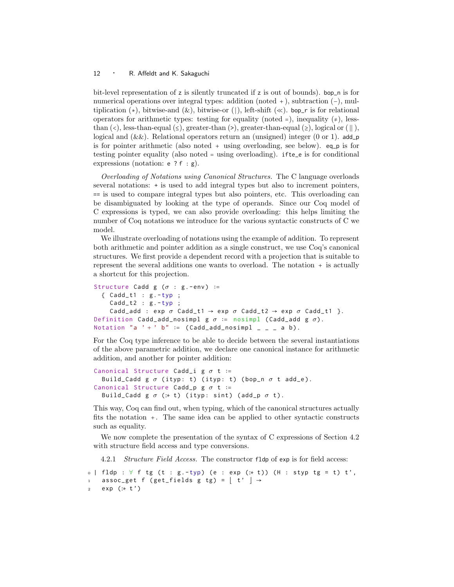bit-level representation of z is silently truncated if z is out of bounds). bop\_n is for numerical operations over integral types: addition (noted +), subtraction (−), multiplication  $(*)$ , bitwise-and  $(\&)$ , bitwise-or (|), left-shift  $(\&)$ . bop\_r is for relational operators for arithmetic types: testing for equality (noted =), inequality  $(\neq)$ , lessthan  $(\langle \cdot \rangle)$ , less-than-equal  $(\leq)$ , greater-than  $(\rangle)$ , greater-than-equal  $(\geq)$ , logical or  $(\parallel)$ , logical and  $(\&\&)$ . Relational operators return an (unsigned) integer (0 or 1). add\_p is for pointer arithmetic (also noted + using overloading, see below). eq\_p is for testing pointer equality (also noted = using overloading). ifte\_e is for conditional expressions (notation: e ? f : g).

Overloading of Notations using Canonical Structures. The C language overloads several notations: + is used to add integral types but also to increment pointers, == is used to compare integral types but also pointers, etc. This overloading can be disambiguated by looking at the type of operands. Since our Coq model of C expressions is typed, we can also provide overloading: this helps limiting the number of Coq notations we introduce for the various syntactic constructs of C we model.

We illustrate overloading of notations using the example of addition. To represent both arithmetic and pointer addition as a single construct, we use Coq's canonical structures. We first provide a dependent record with a projection that is suitable to represent the several additions one wants to overload. The notation + is actually a shortcut for this projection.

```
Structure Cadd g (\sigma : g. - env) :=
  { Cadd_t1 : {g.-typ} ;
    Cadd_t2 : g.-typ;Cadd_add : exp \sigma Cadd_t1 \rightarrow exp \sigma Cadd_t2 \rightarrow exp \sigma Cadd_t1 }.
Definition Cadd_add_nosimpl g \sigma := nosimpl (Cadd_add g \sigma).
Notation "a ' + ' b" := (Cadd_add_nosimpl = = = a b).
```
For the Coq type inference to be able to decide between the several instantiations of the above parametric addition, we declare one canonical instance for arithmetic addition, and another for pointer addition:

```
Canonical Structure Cadd_i g \sigma t :=
  Build_Cadd g \sigma (ityp: t) (ityp: t) (bop_n \sigma t add_e).
Canonical Structure Cadd_p g \sigma t :=Build_Cadd g \sigma (:* t) (ityp: sint) (add_p \sigma t).
```
This way, Coq can find out, when typing, which of the canonical structures actually fits the notation +. The same idea can be applied to other syntactic constructs such as equality.

We now complete the presentation of the syntax of C expressions of Section 4.2 with structure field access and type conversions.

4.2.1 Structure Field Access. The constructor fldp of exp is for field access:

```
0 \mid \text{fldp} : \forall \text{ f tg } (t : g.-typ) \text{ (}e : exp (::t)) \text{ (}H : styp tg = t) t',assoc_get f (get_fields g tg) = |t' | \rightarrow2 exp (:∗ t ')
```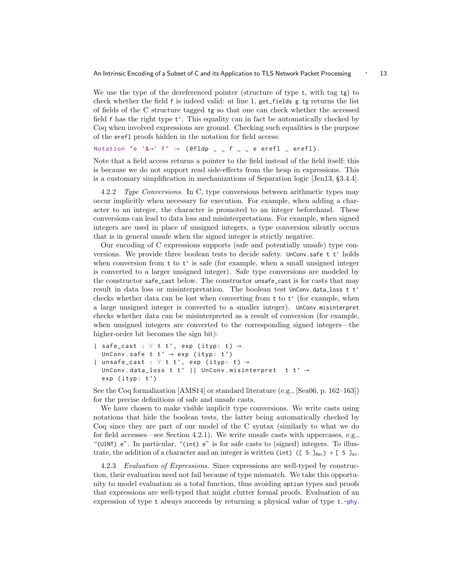We use the type of the dereferenced pointer (structure of type  $t$ , with tag  $tg$ ) to check whether the field f is indeed valid: at line 1, get\_fields g tg returns the list of fields of the C structure tagged tg so that one can check whether the accessed field f has the right type t'. This equality can in fact be automatically checked by Coq when involved expressions are ground. Checking such equalities is the purpose of the erefl proofs hidden in the notation for field access:

```
Notation "e '& \rightarrow' f" := (\thetafldp _ _ f _ _ e erefl _ erefl).
```
Note that a field access returns a pointer to the field instead of the field itself; this is because we do not support read side-effects from the heap in expressions. This is a customary simplification in mechanizations of Separation logic [Jen13, §3.4.4].

4.2.2 Type Conversions. In C, type conversions between arithmetic types may occur implicitly when necessary for execution. For example, when adding a character to an integer, the character is promoted to an integer beforehand. These conversions can lead to data loss and misinterpretations. For example, when signed integers are used in place of unsigned integers, a type conversion silently occurs that is in general unsafe when the signed integer is strictly negative.

Our encoding of C expressions supports (safe and potentially unsafe) type conversions. We provide three boolean tests to decide safety. UnConv.safe t t' holds when conversion from  $t$  to  $t'$  is safe (for example, when a small unsigned integer is converted to a larger unsigned integer). Safe type conversions are modeled by the constructor safe\_cast below. The constructor unsafe\_cast is for casts that may result in data loss or misinterpretation. The boolean test UnConv.data\_loss t t' checks whether data can be lost when converting from t to t' (for example, when a large unsigned integer is converted to a smaller integer). UnConv.misinterpret checks whether data can be misinterpreted as a result of conversion (for example, when unsigned integers are converted to the corresponding signed integers—the higher-order bit becomes the sign bit):

```
| safe_cast : \forall t t', exp (ityp: t) \rightarrowUnConv.safe t t' \rightarrow exp (ityp: t')
| unsafe_cast : \forall t t', exp (ityp: t) \rightarrowUnConv.data_loss t t' || UnConv.misinterpret t t' \rightarrowexp (ityp: t')
```
See the Coq formalization [AMS14] or standard literature (e.g., [Sea06, p. 162–163]) for the precise definitions of safe and unsafe casts.

We have chosen to make visible implicit type conversions. We write casts using notations that hide the boolean tests, the latter being automatically checked by Coq since they are part of our model of the C syntax (similarly to what we do for field accesses—see Section 4.2.1). We write unsafe casts with uppercases, e.g., "(UINT) e". In particular, "(int) e" is for safe casts to (signed) integers. To illustrate, the addition of a character and an integer is written (int) ([  $\frac{5 \text{ J}_{8\text{sc}}}{1 \text{ J}_{8\text{c}}}$ ) + [  $\frac{5 \text{ J}_{8\text{c}}}{1 \text{ J}_{8\text{c}}}$ 

4.2.3 Evaluation of Expressions. Since expressions are well-typed by construction, their evaluation need not fail because of type mismatch. We take this opportunity to model evaluation as a total function, thus avoiding option types and proofs that expressions are well-typed that might clutter formal proofs. Evaluation of an expression of type t always succeeds by returning a physical value of type t.-phy.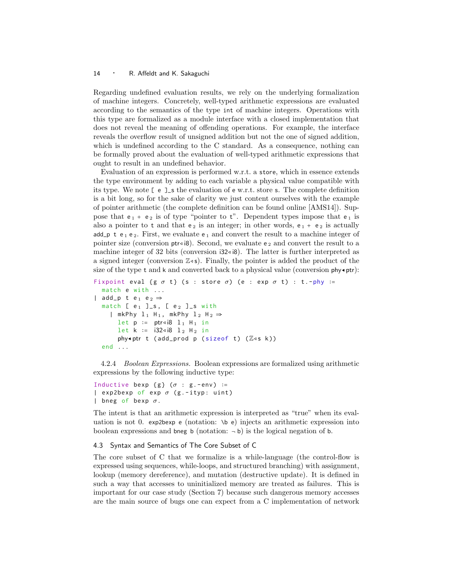Regarding undefined evaluation results, we rely on the underlying formalization of machine integers. Concretely, well-typed arithmetic expressions are evaluated according to the semantics of the type int of machine integers. Operations with this type are formalized as a module interface with a closed implementation that does not reveal the meaning of offending operations. For example, the interface reveals the overflow result of unsigned addition but not the one of signed addition, which is undefined according to the C standard. As a consequence, nothing can be formally proved about the evaluation of well-typed arithmetic expressions that ought to result in an undefined behavior.

Evaluation of an expression is performed w.r.t. a store, which in essence extends the type environment by adding to each variable a physical value compatible with its type. We note  $\lbrack \mathfrak{e} \rbrack$  =  $\lbrack \mathfrak{e} \rbrack$  s the evaluation of  $\mathfrak{e} \mathfrak{w.r.t.}$  store s. The complete definition is a bit long, so for the sake of clarity we just content ourselves with the example of pointer arithmetic (the complete definition can be found online [AMS14]). Suppose that  $e_1 + e_2$  is of type "pointer to t". Dependent types impose that  $e_1$  is also a pointer to t and that  $e_2$  is an integer; in other words,  $e_1 + e_2$  is actually add p t  $e_1$  e<sub>2</sub>. First, we evaluate  $e_1$  and convert the result to a machine integer of pointer size (conversion  $ptr\triangleleft i8$ ). Second, we evaluate e<sub>2</sub> and convert the result to a machine integer of 32 bits (conversion  $32 \times 8$ ). The latter is further interpreted as a signed integer (conversion  $\mathbb{Z}^d$ s). Finally, the pointer is added the product of the size of the type t and k and converted back to a physical value (conversion  $\mathsf{phy}\cdot\mathsf{ptr}$ ):

```
Fixpoint eval {g \, \sigma \, t} (s : store \sigma) (e : exp \sigma \, t) : t.-phy :=
   match e with ...
| add_p t e<sub>1</sub> e<sub>2</sub> \Rightarrowmatch [ e_1 ]\_s, [ e_2 ]_<s with
      | mkPhy 1_1 H<sub>1</sub>, mkPhy 1_2 H<sub>2</sub> \Rightarrowlet p := ptr<i8 l<sub>1</sub> H<sub>1</sub> in
         let k := i32∢i8 l<sub>2</sub> H<sub>2</sub> in
          phy\triangleleftptr t (add_prod p (sizeof t) (\mathbb{Z}4s k))
   end ...
```
4.2.4 Boolean Expressions. Boolean expressions are formalized using arithmetic expressions by the following inductive type:

```
Inductive bexp {g} (\sigma : g.-env) :=
| exp2bexp of exp \sigma (g.-ityp: uint)
| bneg of bexp \sigma.
```
The intent is that an arithmetic expression is interpreted as "true" when its evaluation is not 0. exp2bexp e (notation:  $\mathbf{b}$  e) injects an arithmetic expression into boolean expressions and bneg b (notation:  $\neg$  b) is the logical negation of b.

#### 4.3 Syntax and Semantics of The Core Subset of C

The core subset of C that we formalize is a while-language (the control-flow is expressed using sequences, while-loops, and structured branching) with assignment, lookup (memory dereference), and mutation (destructive update). It is defined in such a way that accesses to uninitialized memory are treated as failures. This is important for our case study (Section 7) because such dangerous memory accesses are the main source of bugs one can expect from a C implementation of network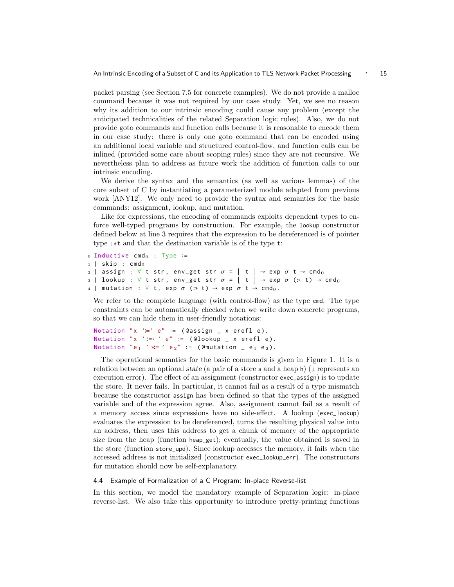packet parsing (see Section 7.5 for concrete examples). We do not provide a malloc command because it was not required by our case study. Yet, we see no reason why its addition to our intrinsic encoding could cause any problem (except the anticipated technicalities of the related Separation logic rules). Also, we do not provide goto commands and function calls because it is reasonable to encode them in our case study: there is only one goto command that can be encoded using an additional local variable and structured control-flow, and function calls can be inlined (provided some care about scoping rules) since they are not recursive. We nevertheless plan to address as future work the addition of function calls to our intrinsic encoding.

We derive the syntax and the semantics (as well as various lemmas) of the core subset of C by instantiating a parameterized module adapted from previous work [ANY12]. We only need to provide the syntax and semantics for the basic commands: assignment, lookup, and mutation.

Like for expressions, the encoding of commands exploits dependent types to enforce well-typed programs by construction. For example, the lookup constructor defined below at line 3 requires that the expression to be dereferenced is of pointer type :∗t and that the destination variable is of the type t:

```
\circ Inductive cmd_0 : Type :=
1 | skip : cmd<sub>0</sub>
2 | assign : \forall t str, env_get str \sigma = | t | \rightarrow e^{i\phi} t \rightarrow cmd<sub>0</sub>
3 | lookup : \forall t str, env_get str \sigma = | t | \rightarrow exp \ \sigma (:* t) \rightarrow cmd<sub>0</sub>
4 | mutation : \forall t, exp \sigma (:* t) \rightarrow exp \sigma t \rightarrow cmd<sub>0</sub>.
```
We refer to the complete language (with control-flow) as the type cmd. The type constraints can be automatically checked when we write down concrete programs, so that we can hide them in user-friendly notations:

```
Notation "x '∶=' e" ∶= ( @assign _ x erefl e ).
Notation "x ' ∶=∗ ' e" ∶= ( @lookup _ x erefl e ).
Notation "e_1 ' *= ' e_2" := (@mutation _ e<sub>1</sub> e<sub>2</sub>).
```
The operational semantics for the basic commands is given in Figure 1. It is a relation between an optional state (a pair of a store s and a heap h) ( $\perp$  represents an execution error). The effect of an assignment (constructor exec\_assign) is to update the store. It never fails. In particular, it cannot fail as a result of a type mismatch because the constructor assign has been defined so that the types of the assigned variable and of the expression agree. Also, assignment cannot fail as a result of a memory access since expressions have no side-effect. A lookup (exec\_lookup) evaluates the expression to be dereferenced, turns the resulting physical value into an address, then uses this address to get a chunk of memory of the appropriate size from the heap (function heap\_get); eventually, the value obtained is saved in the store (function store\_upd). Since lookup accesses the memory, it fails when the accessed address is not initialized (constructor exec\_lookup\_err). The constructors for mutation should now be self-explanatory.

#### 4.4 Example of Formalization of a C Program: In-place Reverse-list

In this section, we model the mandatory example of Separation logic: in-place reverse-list. We also take this opportunity to introduce pretty-printing functions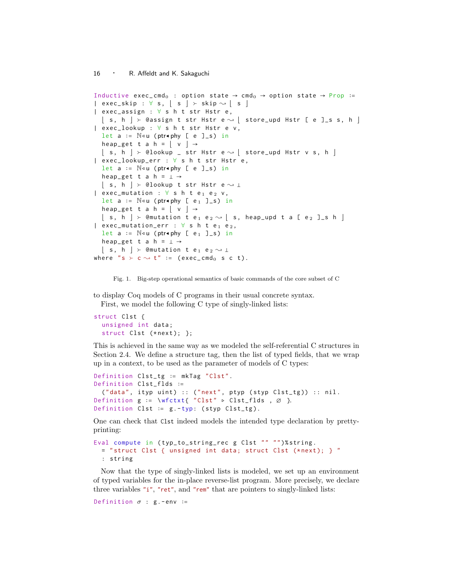```
Inductive exec_cmd<sub>0</sub> : option state \rightarrow cmd<sub>0</sub> \rightarrow option state \rightarrow Prop :=
\vert exec_skip : \forall s, \vert s \vert \rightarrow skip \sim \vert s \vert| exec_assign : ∀ s h t str Hstr e ,
   | s, h | > @assign t str Hstr e \rightsquigarrow | store_upd Hstr [ e ]_s s, h |
| exec_lookup : ∀ s h t str Hstr e v ,
   let a := N \triangleleft u (ptr\negphy [ e ]_s) in
   heap_get t a h = | v | \rightarrow⌊ s , h ⌋  @lookup _ str Hstr e ; ⌊ store_upd Hstr v s , h ⌋
| exec_lookup_err : ∀ s h t str Hstr e ,
   let a := \mathbb{N}⊲u (ptr∢phy [ e ]_s) in
   heap_get t a h = \perp \rightarrow| s, h | ≻ @lookup t str Hstr e \sim ⊥
| exec_mutation : \forall s h t e<sub>1</sub> e<sub>2</sub> v,
  let a := \mathbb{N}⊲u (ptr∢phy [ e<sub>1</sub> ]_s) in
   heap_get t a h = |v| \rightarrow\; \; \mid \; s, h \; \mid \; \succ @mutation t e_1 e_2 \sim \; \mid \; s, heap_upd t a [ e_2 ]_s h \; \mid \;| exec_mutation_err : \forall s h t e<sub>1</sub> e<sub>2</sub>,
  let a := \mathbb{N}⊲u (ptr∢phy [ e<sub>1</sub> ]_s) in
  heap_get t a h = \perp \rightarrow\vert s, h \vert ≻ @mutation t e<sub>1</sub> e<sub>2</sub> \rightsquigarrow ⊥
where "s \succ c \rightsquigarrow t" := (exec_cmd<sub>0</sub> s c t).
```
Fig. 1. Big-step operational semantics of basic commands of the core subset of C

to display Coq models of C programs in their usual concrete syntax. First, we model the following C type of singly-linked lists:

```
struct Clst {
  unsigned int data ;
  struct Clst (*next); };
```
This is achieved in the same way as we modeled the self-referential C structures in Section 2.4. We define a structure tag, then the list of typed fields, that we wrap up in a context, to be used as the parameter of models of C types:

```
Definition Clst_tg ∶= mkTag " Clst ".
Definition Clst_flds ∶=
  ("data", ityp unit) :: ("next", ptyp (style Clst_tg)) :: nil.Definition g := \Wfctxt { "Clst" ⊳ Clst_flds, \emptyset }.
Definition Clst := g.-typ: (styp Clst_tg).
```
One can check that Clst indeed models the intended type declaration by prettyprinting:

```
Eval compute in ( typ_to_string_rec g Clst "" "")% string .
 = " struct Clst { unsigned int data; struct Clst (*next); } "
  : string
```
Now that the type of singly-linked lists is modeled, we set up an environment of typed variables for the in-place reverse-list program. More precisely, we declare three variables "i", "ret", and "rem" that are pointers to singly-linked lists:

```
Definition \sigma : g. -env :=
```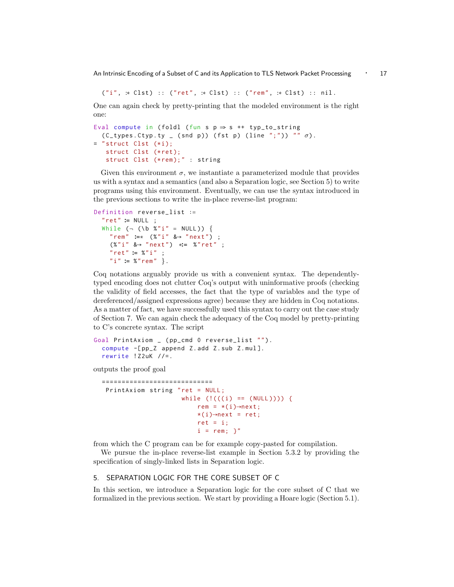An Intrinsic Encoding of a Subset of C and its Application to TLS Network Packet Processing ⋅ 17

("i", :\* Clst) :: ("ret", :\* Clst) :: ("rem", :\* Clst) :: nil.

One can again check by pretty-printing that the modeled environment is the right one:

```
Eval compute in (foldl (fun s p \Rightarrow s ++ typ_to_string
  (C_t^t)ypes. Ctyp.ty _ (snd p)) (fst p) (line ";")) "" \sigma).
= " struct Clst (*i);
   struct Clst (*ret);
   struct Clst (*rem);" : string
```
Given this environment  $\sigma$ , we instantiate a parameterized module that provides us with a syntax and a semantics (and also a Separation logic, see Section 5) to write programs using this environment. Eventually, we can use the syntax introduced in the previous sections to write the in-place reverse-list program:

```
Definition reverse_list ∶=
  " ret " ∶= NULL ;
  While (\neg (\bmod 8" i" = NULL)) {
    " rem " ∶=∗ (%"i" &→ " next ") ;
    (%"i" &→ " next ") ∗∶= %"ret" ;
    " ret " ∶= %"i" ;
    "i" ∶= %" rem " }.
```
Coq notations arguably provide us with a convenient syntax. The dependentlytyped encoding does not clutter Coq's output with uninformative proofs (checking the validity of field accesses, the fact that the type of variables and the type of dereferenced/assigned expressions agree) because they are hidden in Coq notations. As a matter of fact, we have successfully used this syntax to carry out the case study of Section 7. We can again check the adequacy of the Coq model by pretty-printing to C's concrete syntax. The script

```
Goal PrintAxiom _ (pp_cmd 0 reverse_list "").
  compute -[ pp_Z append Z . add Z . sub Z . mul ].
  rewrite ! Z2uK //=.
```
outputs the proof goal

```
============================
 PrintAxiom string "ret = NULL;
                        while (!(((i) == (NULL)))) {
                             rem = *(i) \rightarrownext;
                             *(i) \rightarrow next = ret;ret = i;i = rem; \mathcal{V}'
```
from which the C program can be for example copy-pasted for compilation.

We pursue the in-place reverse-list example in Section 5.3.2 by providing the specification of singly-linked lists in Separation logic.

## 5. SEPARATION LOGIC FOR THE CORE SUBSET OF C

In this section, we introduce a Separation logic for the core subset of C that we formalized in the previous section. We start by providing a Hoare logic (Section 5.1).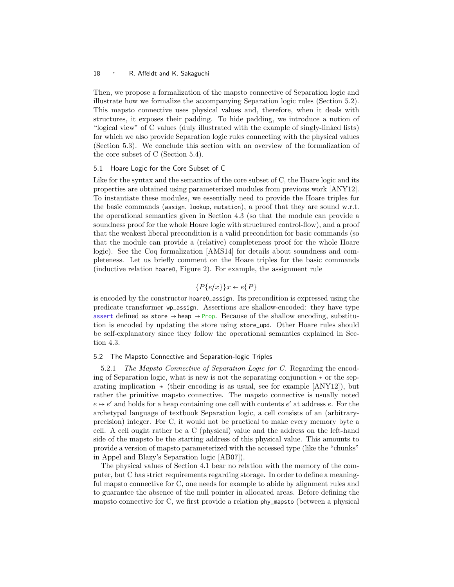Then, we propose a formalization of the mapsto connective of Separation logic and illustrate how we formalize the accompanying Separation logic rules (Section 5.2). This mapsto connective uses physical values and, therefore, when it deals with structures, it exposes their padding. To hide padding, we introduce a notion of "logical view" of C values (duly illustrated with the example of singly-linked lists) for which we also provide Separation logic rules connecting with the physical values (Section 5.3). We conclude this section with an overview of the formalization of the core subset of C (Section 5.4).

#### 5.1 Hoare Logic for the Core Subset of C

Like for the syntax and the semantics of the core subset of C, the Hoare logic and its properties are obtained using parameterized modules from previous work [ANY12]. To instantiate these modules, we essentially need to provide the Hoare triples for the basic commands (assign, lookup, mutation), a proof that they are sound w.r.t. the operational semantics given in Section 4.3 (so that the module can provide a soundness proof for the whole Hoare logic with structured control-flow), and a proof that the weakest liberal precondition is a valid precondition for basic commands (so that the module can provide a (relative) completeness proof for the whole Hoare logic). See the Coq formalization [AMS14] for details about soundness and completeness. Let us briefly comment on the Hoare triples for the basic commands (inductive relation hoare0, Figure 2). For example, the assignment rule

## $\overline{\{P\{e/x\}\}\}x \leftarrow e\{P\}}$

is encoded by the constructor hoare0\_assign. Its precondition is expressed using the predicate transformer wp\_assign. Assertions are shallow-encoded: they have type assert defined as store  $\rightarrow$  heap  $\rightarrow$  Prop. Because of the shallow encoding, substitution is encoded by updating the store using store\_upd. Other Hoare rules should be self-explanatory since they follow the operational semantics explained in Section 4.3.

#### 5.2 The Mapsto Connective and Separation-logic Triples

5.2.1 The Mapsto Connective of Separation Logic for C. Regarding the encoding of Separation logic, what is new is not the separating conjunction  $\star$  or the separating implication  $\star$  (their encoding is as usual, see for example [ANY12]), but rather the primitive mapsto connective. The mapsto connective is usually noted  $e \mapsto e'$  and holds for a heap containing one cell with contents  $e'$  at address e. For the archetypal language of textbook Separation logic, a cell consists of an (arbitraryprecision) integer. For C, it would not be practical to make every memory byte a cell. A cell ought rather be a C (physical) value and the address on the left-hand side of the mapsto be the starting address of this physical value. This amounts to provide a version of mapsto parameterized with the accessed type (like the "chunks" in Appel and Blazy's Separation logic [AB07]).

The physical values of Section 4.1 bear no relation with the memory of the computer, but C has strict requirements regarding storage. In order to define a meaningful mapsto connective for C, one needs for example to abide by alignment rules and to guarantee the absence of the null pointer in allocated areas. Before defining the mapsto connective for C, we first provide a relation phy\_mapsto (between a physical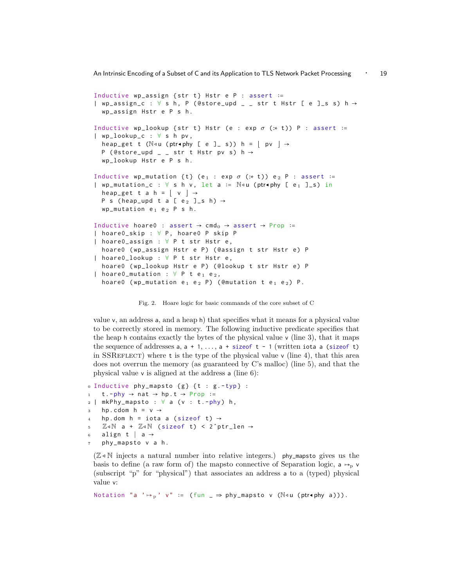An Intrinsic Encoding of a Subset of C and its Application to TLS Network Packet Processing 
∴ 19

```
Inductive wp_assign { str t } Hstr e P : assert ∶=
| wp_assign_c : \forall s h, P (@store_upd _ _ str t Hstr [ e ]_s s) h \rightarrowwp_assign Hstr e P s h .
Inductive wp_lookup {str t} Hstr (e : exp \sigma (:* t)) P : assert :=
| wp_lookup_c : ∀ s h pv ,
  heap_get t (\mathbb{N}⊲u (ptr\bulletphy [ e ]_ s)) h = | pv | →
  P (@store\_upd \_ str t Hstr pv s) h \rightarrowwp_lookup Hstr e P s h .
Inductive wp_mutation {t} (e<sub>1</sub> : exp \sigma (:* t)) e<sub>2</sub> P : assert :=
| wp_mutation_c : ∀ s h v , let a ∶= N◃u (ptr◂phy [ e 1 ] _s ) in
  heap_get t a h = | v | \rightarrowP s (heap_upd t a [ e _2 ] \leq h) \rightarrowwp_mutation e_1 e_2 P s h.
Inductive hoare0 : assert \rightarrow cmd<sub>0</sub> \rightarrow assert \rightarrow Prop :=
| hoare0_skip : ∀ P , hoare0 P skip P
| hoare0_assign : ∀ P t str Hstr e ,
  hoare0 (wp_assign Hstr e P) (@assign t str Hstr e) P
| hoare0_lookup : ∀ P t str Hstr e ,
  hoare0 (wp_lookup Hstr e P) (@lookup t str Hstr e) P
| hoare0_mutation : \forall P t e<sub>1</sub> e<sub>2</sub>,
  hoare0 (wp_mutation e<sub>1</sub> e<sub>2</sub> P) (@mutation t e<sub>1</sub> e<sub>2</sub>) P.
```
Fig. 2. Hoare logic for basic commands of the core subset of C

value v, an address a, and a heap h) that specifies what it means for a physical value to be correctly stored in memory. The following inductive predicate specifies that the heap h contains exactly the bytes of the physical value  $\vee$  (line 3), that it maps the sequence of addresses  $a, a + 1, \ldots, a + sizeof t - 1$  (written iota a (sizeof t) in SSREFLECT) where t is the type of the physical value  $\nu$  (line 4), that this area does not overrun the memory (as guaranteed by C's malloc) (line 5), and that the physical value v is aligned at the address a (line 6):

```
0 Inductive phy_mapsto { g } { t : g . - typ} :
1 t . -phy \rightarrow nat \rightarrow hp . t \rightarrow Prop :=
2 \mid mkPhy_mapsto : \forall a (v : t.-phy) h,
     hp. cdom h = v \rightarrowhp.dom h = iota a (sizeof t) \rightarrow5 \tZ\triangleleft\mathbb{N} a + \mathbb{Z}\triangleleft\mathbb{N} (sizeof t) < 2<sup>o</sup>ptr_len \rightarrow6 align t | a \rightarrow7 phy_mapsto v a h .
```
 $(\mathbb{Z} \triangleleft \mathbb{N})$  injects a natural number into relative integers.) phy\_mapsto gives us the basis to define (a raw form of) the mapsto connective of Separation logic,  $a \rightarrow p \nu$ (subscript "p" for "physical") that associates an address a to a (typed) physical value v:

Notation "a '  $\mapsto p'$  v" := (fun \_  $\Rightarrow$  phy\_mapsto v ( $\mathbb{N}$ ⊲u (ptr $\bullet$ phy a))).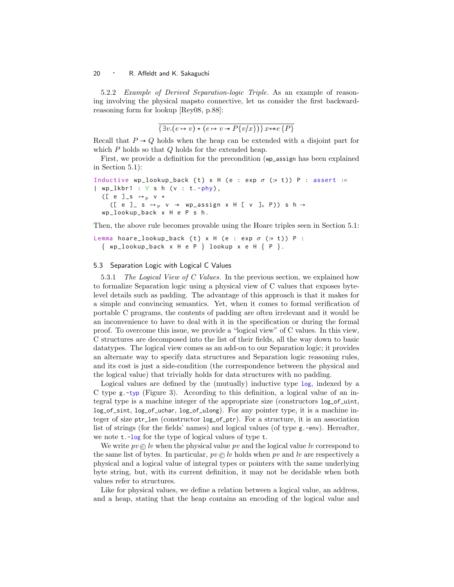5.2.2 Example of Derived Separation-logic Triple. As an example of reasoning involving the physical mapsto connective, let us consider the first backwardreasoning form for lookup [Rey08, p.88]:

$$
\{\exists v.(e \mapsto v) \star (e \mapsto v \star P\{v/x\})\} x \leftrightarrow e\{P\}
$$

Recall that  $P \rightarrow Q$  holds when the heap can be extended with a disjoint part for which  $P$  holds so that  $Q$  holds for the extended heap.

First, we provide a definition for the precondition (wp\_assign has been explained in Section 5.1):

```
Inductive wp_lookup_back {t} x H (e : exp \sigma (:* t)) P : assert :=
| wp_lkbr1 : \forall s h (v : t.-phy),
  ([ e ]_s \mapsto p v \star([ e ] s \mapsto_p v \rightarrow wp\_assign x H [ v ]_c P) s h →
  wp_lookup_back x H e P s h .
```
Then, the above rule becomes provable using the Hoare triples seen in Section 5.1:

Lemma hoare\_lookup\_back {t} x H (e : exp  $\sigma$  (:\* t)) P :  $\{ wp\_lookup\_back \times H e P \}$  lookup  $x e H \{ P \}$ .

#### 5.3 Separation Logic with Logical C Values

5.3.1 The Logical View of C Values. In the previous section, we explained how to formalize Separation logic using a physical view of C values that exposes bytelevel details such as padding. The advantage of this approach is that it makes for a simple and convincing semantics. Yet, when it comes to formal verification of portable C programs, the contents of padding are often irrelevant and it would be an inconvenience to have to deal with it in the specification or during the formal proof. To overcome this issue, we provide a "logical view" of C values. In this view, C structures are decomposed into the list of their fields, all the way down to basic datatypes. The logical view comes as an add-on to our Separation logic; it provides an alternate way to specify data structures and Separation logic reasoning rules, and its cost is just a side-condition (the correspondence between the physical and the logical value) that trivially holds for data structures with no padding.

Logical values are defined by the (mutually) inductive type log, indexed by a C type g.-typ (Figure 3). According to this definition, a logical value of an integral type is a machine integer of the appropriate size (constructors log\_of\_uint, log\_of\_sint, log\_of\_uchar, log\_of\_ulong). For any pointer type, it is a machine integer of size ptr\_len (constructor log\_of\_ptr). For a structure, it is an association list of strings (for the fields' names) and logical values (of type g.-env). Hereafter, we note t.-log for the type of logical values of type t.

We write  $pv \odot iv$  when the physical value pv and the logical value lv correspond to the same list of bytes. In particular,  $pv \odot w$  holds when pv and lv are respectively a physical and a logical value of integral types or pointers with the same underlying byte string, but, with its current definition, it may not be decidable when both values refer to structures.

Like for physical values, we define a relation between a logical value, an address, and a heap, stating that the heap contains an encoding of the logical value and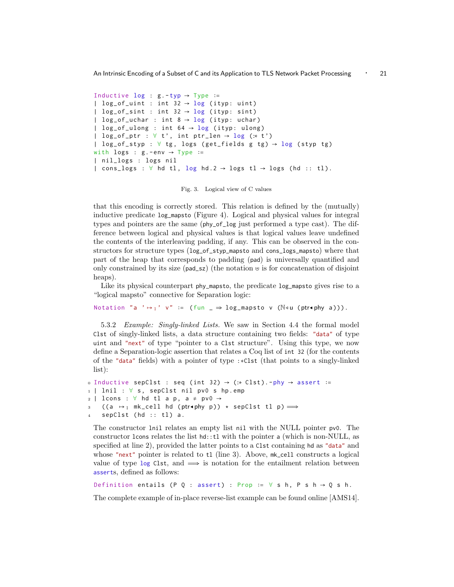An Intrinsic Encoding of a Subset of C and its Application to TLS Network Packet Processing ⋅ 21

```
Inductive log : g.-typ \rightarrow Type :=
| log_of_uint : int 32 \rightarrow \log (ityp: uint)
| log_of\_sint : int 32 \rightarrow log (ityp: sint)
| log_of_uchar : int 8 \rightarrow \log (ityp: uchar)
| log_of_ulong : int 64 \rightarrow \log (ityp: ulong)
| log_of_ptr : \forall t', int ptr_len \rightarrow log (:* t')
| log_of_styp : \forall tg, logs (get_fields g tg) \rightarrow log (styp tg)
with logs : g - env \rightarrow Type :=
| nil_logs : logs nil
| cons_logs : \forall hd tl, log hd.2 \rightarrow logs tl \rightarrow logs (hd :: tl).
```
Fig. 3. Logical view of C values

that this encoding is correctly stored. This relation is defined by the (mutually) inductive predicate log\_mapsto (Figure 4). Logical and physical values for integral types and pointers are the same (phy\_of\_log just performed a type cast). The difference between logical and physical values is that logical values leave undefined the contents of the interleaving padding, if any. This can be observed in the constructors for structure types (log\_of\_styp\_mapsto and cons\_logs\_mapsto) where that part of the heap that corresponds to padding (pad) is universally quantified and only constrained by its size (pad\_sz) (the notation ⊎ is for concatenation of disjoint heaps).

Like its physical counterpart phy\_mapsto, the predicate log\_mapsto gives rise to a "logical mapsto" connective for Separation logic:

Notation "a '  $\mapsto_1$ ' v" := (fun \_  $\Rightarrow$  log\_mapsto v (N<u (ptr $\bullet$ phy a))).

5.3.2 Example: Singly-linked Lists. We saw in Section 4.4 the formal model Clst of singly-linked lists, a data structure containing two fields: "data" of type uint and "next" of type "pointer to a Clst structure". Using this type, we now define a Separation-logic assertion that relates a Coq list of int 32 (for the contents of the "data" fields) with a pointer of type :∗Clst (that points to a singly-linked list):

```
0 Inductive sepClst : seq (int 32) → (:* Clst).-phy → assert :=
1 | lnil : ∀ s , sepClst nil pv0 s hp . emp
2 | lcons : \forall hd tl a p, a \neq pv0 \rightarrow3 ((a \mapsto_1 mk_cell hd (ptr\astphy p)) \star sepClst tl p) \LongrightarrowsepClst (hd :: tl) a.
```
The constructor lnil relates an empty list nil with the NULL pointer pv0. The constructor lcons relates the list hd::tl with the pointer a (which is non-NULL, as specified at line 2), provided the latter points to a Clst containing hd as "data" and whose "next" pointer is related to tl (line 3). Above,  $mk$ -cell constructs a logical value of type log Clst, and  $\implies$  is notation for the entailment relation between asserts, defined as follows:

```
Definition entails (P Q : assert) : Prop := \forall s h, P s h → Q s h.
```
The complete example of in-place reverse-list example can be found online [AMS14].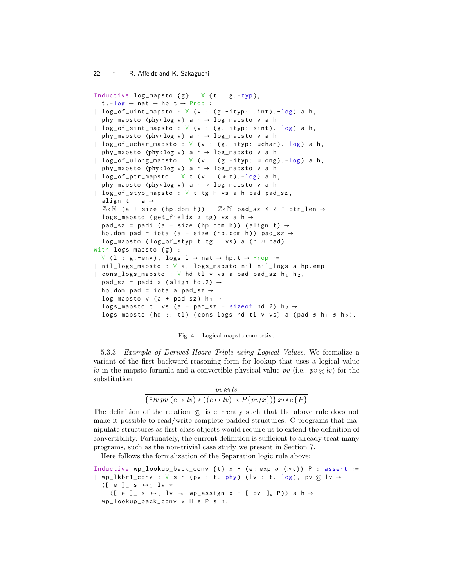```
Inductive log_mapsto {g} : \forall {t : g.-typ},
  t . -log \rightarrow nat \rightarrow hp . t \rightarrow Prop :=| log_of\_uint\_mapsto : \forall (v : (g.-ityp: uint). -log) a h,
  phy_mapsto (phy<1og v) a h \rightarrow log_mapsto v a h
| log_of_sint_mapsto : ∀ ( v : ( g . - ityp : sint ). - log) a h ,
  phy_mapsto (phy<1og v) a h \rightarrow log_mapsto v a h
| log_of_uchar_mapsto : ∀ ( v : ( g . - ityp : uchar ). - log) a h ,
  phy_mapsto (phy<1og v) a h \rightarrow log_mapsto v a h
| log_of_ulong_mapsto : ∀ ( v : ( g . - ityp : ulong ). - log) a h ,
  phy_mapsto (phy<1og v) a h \rightarrow log_mapsto v a h
| log_of_ptr_mapsto : ∀ t ( v : (:∗ t ). - log) a h ,
  phy_mapsto (phy<1og v) a h \rightarrow log_mapsto v a h
| log_of_styp_mapsto : ∀ t tg H vs a h pad pad_sz ,
  align t | a →
  \mathbb{Z} 4N (a + size (hp.dom h)) + \mathbb{Z} 4N pad_sz < 2 \degree ptr_len \rightarrowlogs_mapsto (get_fields g tg) vs a h \rightarrowpad_sz = padd (a + size (hp.dom h)) (align t) \rightarrowhp.dom pad = iota (a + size (hp.dom h)) pad_sz \rightarrowlog_mapsto (log_of_styp t tg H vs) a (h ⊎ pad)
with \log s mapsto \{g\}:
  ∀ (1 : g.-env), logs 1 → nat → hp.t → Prop :=| nil_logs_mapsto : ∀ a , logs_mapsto nil nil_logs a hp . emp
| cons_logs_mapsto : \forall hd tl v vs a pad pad_sz h<sub>1</sub> h<sub>2</sub>,
  pad_sz = padd a (align hd.2) \rightarrowhp.dom pad = iota a pad_sz \rightarrowlog_mapsto v (a + pad_sz) h_1 \rightarrowlogs_mapsto tl vs (a + pad_sz + sizeof hd.2) h_2 \rightarrowlogs_mapsto (hd :: tl) (cons_logs hd tl v vs) a (pad \forall h<sub>1</sub> \forall h<sub>2</sub>).
```
#### Fig. 4. Logical mapsto connective

5.3.3 Example of Derived Hoare Triple using Logical Values. We formalize a variant of the first backward-reasoning form for lookup that uses a logical value lv in the mapsto formula and a convertible physical value pv (i.e.,  $pv \odot lv$ ) for the substitution:

$$
\frac{pv \odot lv}{\{\exists lw\ pv. (e \mapsto lv) \star ((e \mapsto bv) \star P\{pv/x\})\}x \leftrightarrow e\{P\}}
$$

The definition of the relation © is currently such that the above rule does not make it possible to read/write complete padded structures. C programs that manipulate structures as first-class objects would require us to extend the definition of convertibility. Fortunately, the current definition is sufficient to already treat many programs, such as the non-trivial case study we present in Section 7.

Here follows the formalization of the Separation logic rule above:

Inductive wp\_lookup\_back\_conv {t} x H (e:exp  $\sigma$  (:\*t)) P : assert := | wp\_lkbr1\_conv :  $\forall$  s h (pv : t.-phy) (lv : t.-log), pv  $\circledcirc$  lv  $\rightarrow$ ([ e ]\_ s  $\mapsto_1$  lv \* ([ e ]\_ s  $\mapsto_1$  lv  $\star$  wp\_assign x H [ pv ]<sub>c</sub> P)) s h  $\rightarrow$ wp\_lookup\_back\_conv x H e P s h .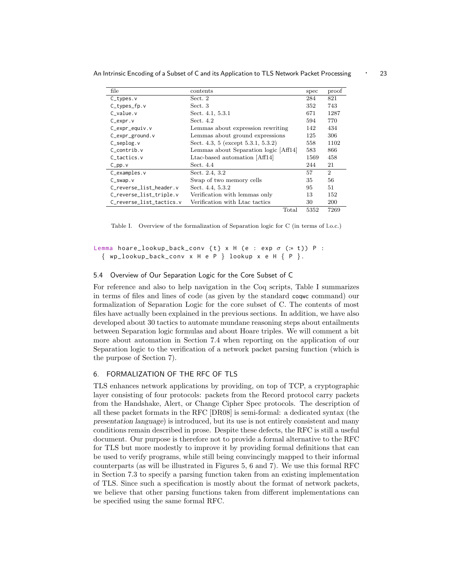| file                     | contents                                 | spec | proof          |
|--------------------------|------------------------------------------|------|----------------|
| $C_t$ types. $v$         | Sect. 2                                  | 284  | 821            |
| $C_t$ types $fp.v$       | Sect. 3                                  | 352  | 743            |
| $C$ value. $v$           | Sect. 4.1, 5.3.1                         | 671  | 1287           |
| $C$ _expr.v              | Sect. 4.2                                | 594  | 770            |
| $C$ _expr_equiv.v        | Lemmas about expression rewriting        | 142  | 434            |
| $C$ _expr_ground.v       | Lemmas about ground expressions          | 125  | 306            |
| $C$ _seplog.v            | Sect. 4.3, 5 (except $5.3.1$ , $5.3.2$ ) | 558  | 1102           |
| $C$ contrib. $v$         | Lemmas about Separation logic [Aff14]    | 583  | 866            |
| $C_{\text{-}}$ tactics.v | Ltac-based automation [Aff14]            | 1569 | 458            |
| $C$ _pp.v                | Sect. 4.4                                | 244  | 21             |
| $C_$ examples. $v$       | Sect. 2.4, 3.2                           | 57   | $\overline{2}$ |
| $C$ _swap. $v$           | Swap of two memory cells                 | 35   | 56             |
| C_reverse_list_header.v  | Sect. 4.4, 5.3.2                         | 95   | 51             |
| C_reverse_list_triple.v  | Verification with lemmas only            | 13   | 152            |
| C_reverse_list_tactics.v | Verification with Ltac tactics           | 30   | 200            |
|                          | Total                                    | 5352 | 7269           |

Table I. Overview of the formalization of Separation logic for C (in terms of l.o.c.)

```
Lemma hoare_lookup_back_conv {t} x H (e : exp \sigma (:* t)) P :
  { wp_lookup_back_conv x H e P } lookup x e H { P }.
```
#### 5.4 Overview of Our Separation Logic for the Core Subset of C

For reference and also to help navigation in the Coq scripts, Table I summarizes in terms of files and lines of code (as given by the standard coqwc command) our formalization of Separation Logic for the core subset of C. The contents of most files have actually been explained in the previous sections. In addition, we have also developed about 30 tactics to automate mundane reasoning steps about entailments between Separation logic formulas and about Hoare triples. We will comment a bit more about automation in Section 7.4 when reporting on the application of our Separation logic to the verification of a network packet parsing function (which is the purpose of Section 7).

#### 6. FORMALIZATION OF THE RFC OF TLS

TLS enhances network applications by providing, on top of TCP, a cryptographic layer consisting of four protocols: packets from the Record protocol carry packets from the Handshake, Alert, or Change Cipher Spec protocols. The description of all these packet formats in the RFC [DR08] is semi-formal: a dedicated syntax (the presentation language) is introduced, but its use is not entirely consistent and many conditions remain described in prose. Despite these defects, the RFC is still a useful document. Our purpose is therefore not to provide a formal alternative to the RFC for TLS but more modestly to improve it by providing formal definitions that can be used to verify programs, while still being convincingly mapped to their informal counterparts (as will be illustrated in Figures 5, 6 and 7). We use this formal RFC in Section 7.3 to specify a parsing function taken from an existing implementation of TLS. Since such a specification is mostly about the format of network packets, we believe that other parsing functions taken from different implementations can be specified using the same formal RFC.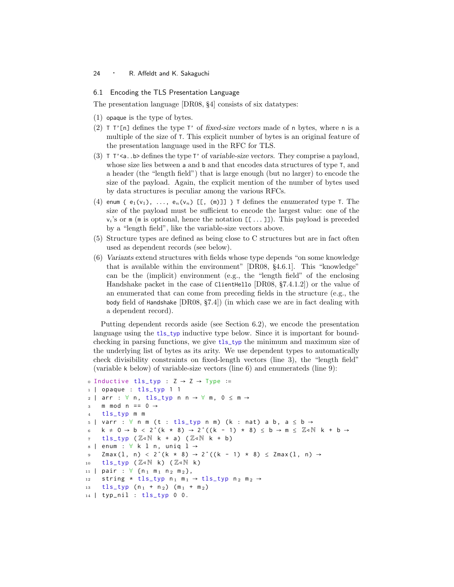#### 6.1 Encoding the TLS Presentation Language

The presentation language [DR08, §4] consists of six datatypes:

- (1) opaque is the type of bytes.
- (2)  $T T'$ [n] defines the type  $T'$  of fixed-size vectors made of n bytes, where n is a multiple of the size of T. This explicit number of bytes is an original feature of the presentation language used in the RFC for TLS.
- (3)  $\top$  T' $\leq$  b> defines the type  $\top$ ' of variable-size vectors. They comprise a payload, whose size lies between a and b and that encodes data structures of type T, and a header (the "length field") that is large enough (but no larger) to encode the size of the payload. Again, the explicit mention of the number of bytes used by data structures is peculiar among the various RFCs.
- (4) enum {  $e_1(v_1)$ , ...,  $e_n(v_n)$  [[, (m)]] } T defines the enumerated type T. The size of the payload must be sufficient to encode the largest value: one of the  $v_i$ 's or m (m is optional, hence the notation [[...]]). This payload is preceded by a "length field", like the variable-size vectors above.
- (5) Structure types are defined as being close to C structures but are in fact often used as dependent records (see below).
- (6) Variants extend structures with fields whose type depends "on some knowledge that is available within the environment" [DR08, §4.6.1]. This "knowledge" can be the (implicit) environment (e.g., the "length field" of the enclosing Handshake packet in the case of ClientHello [DR08, §7.4.1.2]) or the value of an enumerated that can come from preceding fields in the structure (e.g., the body field of Handshake [DR08, §7.4]) (in which case we are in fact dealing with a dependent record).

Putting dependent records aside (see Section 6.2), we encode the presentation language using the tls\_typ inductive type below. Since it is important for boundchecking in parsing functions, we give tls\_typ the minimum and maximum size of the underlying list of bytes as its arity. We use dependent types to automatically check divisibility constraints on fixed-length vectors (line 3), the "length field" (variable k below) of variable-size vectors (line 6) and enumerateds (line 9):

```
o Inductive tls_typ : Z \rightarrow Z \rightarrow Type :=
 1 | opaque : tls_typ 1 1
 2 | arr : \forall n, tls_typ n n \rightarrow \forall m, 0 \leq m \rightarrow3 m mod n == 0 \rightarrow4 tls_typ m m
 5 \mid \text{var } r : \forall \text{ n m (t : tls\_typ n m) (k : nat) a b, a \le b \rightarrow6 k \neq 0 \rightarrow b < 2 ^(k \star 8) \rightarrow 2 ^((k - 1) \star 8) \leq b \rightarrow m \leq \mathbb{Z} dN k + b \rightarrow7 tls_typ (\mathbb{Z} \triangleleft \mathbb{N} k + a) (\mathbb{Z} \triangleleft \mathbb{N} k + b)
 s | enum : \forall k 1 n, uniq 1 \rightarrow9 Zmax(1, n) < 2<sup>\hat{ }</sup> (k * 8) → 2<sup>\hat{ }</sup> ((k - 1) * 8) ≤ Zmax(1, n) →
10 tls_typ (\mathbb{Z} \triangleleft \mathbb{N} k) (\mathbb{Z} \triangleleft \mathbb{N} k)
11 | pair : ∀ {n<sub>1</sub> m<sub>1</sub> n<sub>2</sub> m<sub>2</sub>},
12 string * tls_typ n_1 m<sub>1</sub> \rightarrow tls_typ n<sub>2</sub> m<sub>2</sub> \rightarrow13 tls_{1}typ(n_1 + n_2) (m<sub>1</sub> + m<sub>2</sub>)
14 | typ_nil : tls_typ 0 0.
```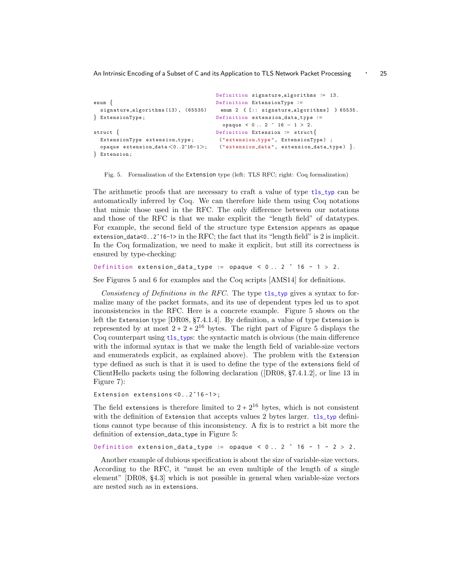An Intrinsic Encoding of a Subset of C and its Application to TLS Network Packet Processing ⋅ 25

```
enum {
 signature_a1g orithms(13), (65535)} ExtensionType ;
struct {
 ExtensionType extension_type;
 opaque extension data <0..2^16−1>;
} Extension ;
                                      Definition signature_algorithms := 13.
                                      Definition ExtensionType ∶=
                                       enum 2 \{[:: signature_algorithms] \} 65535.Definition extension_data_type :=opaque < 0 .. 2 ^ 16 − 1 > 2.
                                      Definition Extension ∶= struct{
                                      (" extension_type", ExtensionType) ;
                                      ("extension_data", extension_data.py).
```
Fig. 5. Formalization of the Extension type (left: TLS RFC; right: Coq formalization)

The arithmetic proofs that are necessary to craft a value of type tls\_typ can be automatically inferred by Coq. We can therefore hide them using Coq notations that mimic those used in the RFC. The only difference between our notations and those of the RFC is that we make explicit the "length field" of datatypes. For example, the second field of the structure type Extension appears as opaque extension\_data<0..2ˆ16-1> in the RFC; the fact that its "length field" is 2 is implicit. In the Coq formalization, we need to make it explicit, but still its correctness is ensured by type-checking:

```
Definition extension_data_type := opaque < 0.. 2 \hat{ } 16 - 1 > 2.
```
See Figures 5 and 6 for examples and the Coq scripts [AMS14] for definitions.

Consistency of Definitions in the RFC. The type tls\_typ gives a syntax to formalize many of the packet formats, and its use of dependent types led us to spot inconsistencies in the RFC. Here is a concrete example. Figure 5 shows on the left the Extension type [DR08, §7.4.1.4]. By definition, a value of type Extension is represented by at most  $2 + 2 + 2^{16}$  bytes. The right part of Figure 5 displays the Coq counterpart using tls\_typs: the syntactic match is obvious (the main difference with the informal syntax is that we make the length field of variable-size vectors and enumerateds explicit, as explained above). The problem with the Extension type defined as such is that it is used to define the type of the extensions field of ClientHello packets using the following declaration ([DR08, §7.4.1.2], or line 13 in Figure 7):

Extension extensions <0..2^16-1>;

The field extensions is therefore limited to  $2 + 2^{16}$  bytes, which is not consistent with the definition of Extension that accepts values 2 bytes larger. tls\_typ definitions cannot type because of this inconsistency. A fix is to restrict a bit more the definition of extension\_data\_type in Figure 5:

Definition extension\_data\_type ∶= opaque < 0 .. 2 ˆ 16 - 1 - 2 > 2.

Another example of dubious specification is about the size of variable-size vectors. According to the RFC, it "must be an even multiple of the length of a single element" [DR08, §4.3] which is not possible in general when variable-size vectors are nested such as in extensions.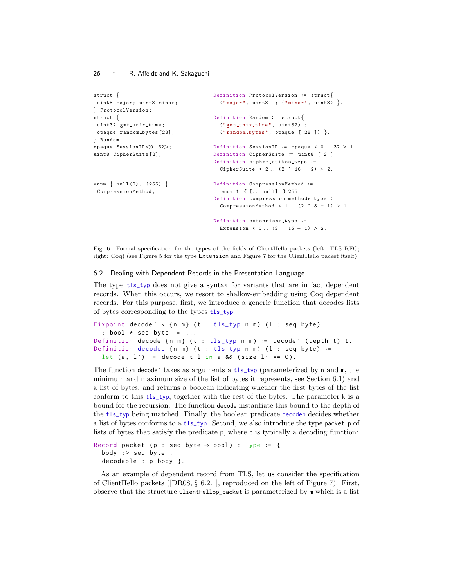```
struct {
uint8 major; uint8 minor;
} ProtocolVersion ;
struct {
uint32 gmt_unix_time;
 opaque random_bytes [28];
} Random ;
opaque SessionID <0..32>;
uint8 CipherSuite [2];
enum { null (0) , (255) }
 CompressionMethod ;
                                      Definition ProtocolVersion ∶= struct{
                                       ( "major", uint8) ; ( "minor", uint8) \}.
                                     Definition Random ∶= struct{
                                        ("gmt_unix_time", uint32) ;
                                        ('random_bytes", opaque [28]).
                                     Definition SessionID ∶= opaque < 0 .. 32 > 1.
                                     Definition CipherSuite ∶= uint8 [ 2 ].
                                     Definition cipher_suites_type :=
                                       CipherSuite < 2.. (2 \t16 - 2) > 2.
                                     Definition CompressionMethod ∶=
                                        enum 1 { [:: null] } 255.
                                      Definition compression_methods_type :=
                                        CompressionMethod < 1.. (2 \hat{ } 8 - 1) > 1.
                                      Definition extensions_type :=
                                        Extension < 0.. (2 \t16 - 1) > 2.
```
Fig. 6. Formal specification for the types of the fields of ClientHello packets (left: TLS RFC; right: Coq) (see Figure 5 for the type Extension and Figure 7 for the ClientHello packet itself)

#### 6.2 Dealing with Dependent Records in the Presentation Language

The type tls\_typ does not give a syntax for variants that are in fact dependent records. When this occurs, we resort to shallow-embedding using Coq dependent records. For this purpose, first, we introduce a generic function that decodes lists of bytes corresponding to the types tls\_typ.

```
Fixpoint decode' k {n m} (t : tls_typ n m) (l : seq byte)
  : bool * seq byte ∶= ...
Definition decode {n m} (t : tls_typ n m) := decode' (depth t) t.
Definition decodep {n = (t : tls_typ n =) (l : seq byte) :=
 let (a, 1') := decode t l in a && (size l' == 0).
```
The function decode' takes as arguments a tls\_typ (parameterized by n and m, the minimum and maximum size of the list of bytes it represents, see Section 6.1) and a list of bytes, and returns a boolean indicating whether the first bytes of the list conform to this tls\_typ, together with the rest of the bytes. The parameter  $k$  is a bound for the recursion. The function decode instantiate this bound to the depth of the tls\_typ being matched. Finally, the boolean predicate decodep decides whether a list of bytes conforms to a tls\_typ. Second, we also introduce the type packet p of lists of bytes that satisfy the predicate p, where p is typically a decoding function:

```
Record packet (p : seq byte \rightarrow bool) : Type := {
  body :> seq byte ;
  decodable : p body }.
```
As an example of dependent record from TLS, let us consider the specification of ClientHello packets ([DR08, § 6.2.1], reproduced on the left of Figure 7). First, observe that the structure ClientHellop\_packet is parameterized by m which is a list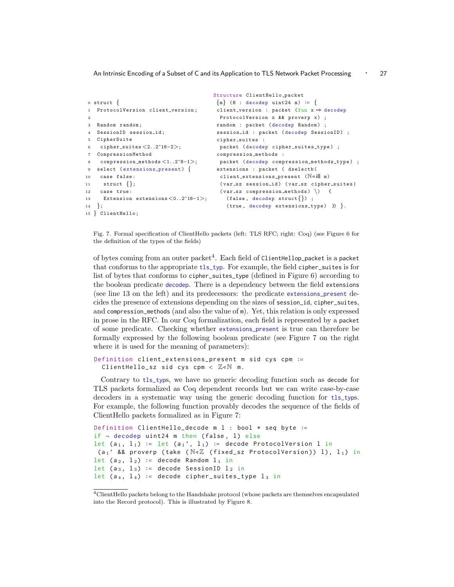```
0 \text{ struct }1 ProtocolVersion client_version;
\overline{2}3 Random random ;
4 SessionID session_id;
5 CipherSuite
6 cipher suites <2..2^16−2>;
7 CompressionMethod
8 compression methods <1..2^8−1>;
9 select (extensions_present) {
10 case false :
11 struct \{\};12 case true :
13 Extension extensions <0..2^16−1>;
14 };
15 } ClientHello ;
                                        Structure ClientHello_packet
                                         {m} (H : decodep uint24 m) := {
                                         client_version : packet (fun x \Rightarrow decodep
                                          ProtocolVersion x & & proverp x) ;
                                         random : packet (decodep Random) ;
                                         session_id : packet (decodep SessionID) ;
                                        cipher_suites :
                                         packet (decodep cipher_suites_type) ;
                                        compression_methods :
                                         packet ( decodep compression methods type) ;
                                         extensions : packet ( dselectb (
                                          client_extensions_present (N \triangleleft i8 \text{ m})(var_sz session_id) (var_sz cipher_suites)
                                          (var_sz compression_methods) ) {
                                           (false, decodep struct\{\}\);
                                            (true, decodep extensions_type) }) }.
```
Fig. 7. Formal specification of ClientHello packets (left: TLS RFC; right: Coq) (see Figure 6 for the definition of the types of the fields)

of bytes coming from an outer packet $\rm ^4.$  Each field of <code>ClientHellop\_packet</code> is a packet that conforms to the appropriate tls\_typ. For example, the field cipher\_suites is for list of bytes that conforms to cipher\_suites\_type (defined in Figure 6) according to the boolean predicate decodep. There is a dependency between the field extensions (see line 13 on the left) and its predecessors: the predicate extensions\_present decides the presence of extensions depending on the sizes of session\_id, cipher\_suites, and compression\_methods (and also the value of m). Yet, this relation is only expressed in prose in the RFC. In our Coq formalization, each field is represented by a packet of some predicate. Checking whether extensions\_present is true can therefore be formally expressed by the following boolean predicate (see Figure 7 on the right where it is used for the meaning of parameters):

```
Definition client_extensions_present m sid cys cpm ∶=
  ClientHello_sz sid cys cpm < \mathbb{Z} \triangleleft \mathbb{N} m.
```
Contrary to tls\_typs, we have no generic decoding function such as decode for TLS packets formalized as Coq dependent records but we can write case-by-case decoders in a systematic way using the generic decoding function for tls\_typs. For example, the following function provably decodes the sequence of the fields of ClientHello packets formalized as in Figure 7:

```
Definition ClientHello_decode m l : bool * seq byte ∶=
if \neg decodep uint24 m then (false, 1) else
let (a_1, 1_1) := \text{let } (a_1', 1_1) := \text{decode ProtocolVersion 1 in}(a<sub>1</sub>' && proverp (take (\mathbb{N} \triangleleft \mathbb{Z} (fixed_sz ProtocolVersion)) l), l_1) in
let (a 2, l_2) := decode Random l_1 in
let (a_3, 1_3) := decode SessionID 1_2 in
let (a_4, 1_4) := decode cipher_suites_type l_3 in
```
 $^4\rm ClientHello \ packets$  belong to the Handshake protocol (whose packets are themselves encapsulated into the Record protocol). This is illustrated by Figure 8.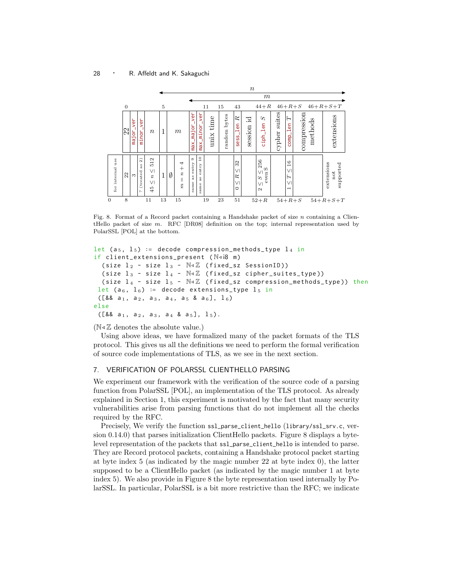

Fig. 8. Format of a Record packet containing a Handshake packet of size n containing a ClientHello packet of size  $m$ . RFC [DR08] definition on the top; internal representation used by PolarSSL [POL] at the bottom.

```
let (a<sub>5</sub>, 1_5) := decode compression_methods_type 1_4 in
if client_extensions_present (N \triangleleft i8 \ m)( size l_2 - size l_3 - \mathbb{N} \triangleleft \mathbb{Z} (fixed_sz SessionID))
   ( size l_3 - size l_4 - \mathbb{N} \triangleleft \mathbb{Z} (fixed_sz cipher_suites_type))
   (size l_4 - size l_5 - \mathbb{N} \triangleleft \mathbb{Z} (fixed_sz compression_methods_type)) then
 let (a<sub>6</sub>, l<sub>6</sub>) := decode extensions_type l<sub>5</sub> in
 ([&amp; 2, a<sub>1</sub>, a<sub>2</sub>, a<sub>3</sub>, a<sub>4</sub>, a<sub>5</sub>, a<sub>6</sub>], 1<sub>6</sub>)else
 ([& a_1, a_2, a_3, a_4 & a_5], 1_5).
```
#### $(N \triangleleft \mathbb{Z}$  denotes the absolute value.)

Using above ideas, we have formalized many of the packet formats of the TLS protocol. This gives us all the definitions we need to perform the formal verification of source code implementations of TLS, as we see in the next section.

#### 7. VERIFICATION OF POLARSSL CLIENTHELLO PARSING

We experiment our framework with the verification of the source code of a parsing function from PolarSSL [POL], an implementation of the TLS protocol. As already explained in Section 1, this experiment is motivated by the fact that many security vulnerabilities arise from parsing functions that do not implement all the checks required by the RFC.

Precisely, We verify the function ssl\_parse\_client\_hello (library/ssl\_srv.c, version 0.14.0) that parses initialization ClientHello packets. Figure 8 displays a bytelevel representation of the packets that ssl\_parse\_client\_hello is intended to parse. They are Record protocol packets, containing a Handshake protocol packet starting at byte index 5 (as indicated by the magic number 22 at byte index 0), the latter supposed to be a ClientHello packet (as indicated by the magic number 1 at byte index 5). We also provide in Figure 8 the byte representation used internally by PolarSSL. In particular, PolarSSL is a bit more restrictive than the RFC; we indicate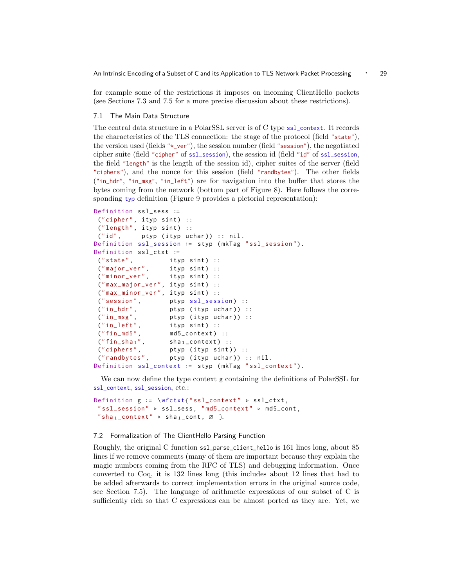for example some of the restrictions it imposes on incoming ClientHello packets (see Sections 7.3 and 7.5 for a more precise discussion about these restrictions).

## 7.1 The Main Data Structure

The central data structure in a PolarSSL server is of C type ssl\_context. It records the characteristics of the TLS connection: the stage of the protocol (field "state"), the version used (fields " $\star$ -ver"), the session number (field "session"), the negotiated cipher suite (field "cipher" of ssl\_session), the session id (field "id" of ssl\_session, the field "length" is the length of the session id), cipher suites of the server (field "ciphers"), and the nonce for this session (field "randbytes"). The other fields ("in\_hdr", "in\_msg", "in\_left") are for navigation into the buffer that stores the bytes coming from the network (bottom part of Figure 8). Here follows the corresponding typ definition (Figure 9 provides a pictorial representation):

```
Definition ssl_sess ∶=
 (" cipher", ityp sint) ::("length", ityp sint) ::
 ("id", ptyp (ityp uchar)) :: nil.
Definition ssl_session ∶= styp ( mkTag " ssl_session ").
Definition ssl_ctxt ∶=
 ("state", ityp sint) ::
 ("major_ver", ityp sint) ::
 ("minor_ver", ityp sint) ::
 ("max_major_ver", ityp sint) ::
 ("max_minor_ver", ityp sint) ::
 (" session", ptyp ssl_session) ::<br>(" in_hdr", ptyp (ityp uchar)) :
 ("in_hdr", ptyp (ityp uchar)) ::<br>("in_msg", ptyp (ityp uchar)) ::
                  ptyp (ityp uchar)) ::
 ("in_left", ityp sint) ::
 ("fin_m d5", \tmd05\_context) ::("fin_sha_1", sha<sub>1</sub>_context) ::
 ("ciphers", ptyp (ityp sint)) ::
 ("randbytes", ptyp (ityp uchar)) :: nil.
Definition ssl_context ∶= styp ( mkTag " ssl_context ").
```
We can now define the type context g containing the definitions of PolarSSL for ssl\_context, ssl\_session, etc.:

```
Definition g := \wfctxt{"ssl_context" ⊳ ssl_ctxt,
 " ssl_session " ▹ ssl_sess , " md5_context " ▹ md5_cont ,
 "sha<sub>1</sub>_context" \triangleright sha<sub>1</sub>_cont, \emptyset }.
```
## 7.2 Formalization of The ClientHello Parsing Function

Roughly, the original C function ssl\_parse\_client\_hello is 161 lines long, about 85 lines if we remove comments (many of them are important because they explain the magic numbers coming from the RFC of TLS) and debugging information. Once converted to Coq, it is 132 lines long (this includes about 12 lines that had to be added afterwards to correct implementation errors in the original source code, see Section 7.5). The language of arithmetic expressions of our subset of C is sufficiently rich so that C expressions can be almost ported as they are. Yet, we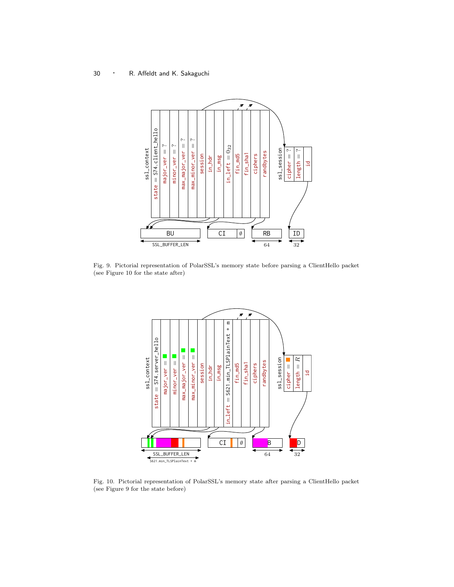

Fig. 9. Pictorial representation of PolarSSL's memory state before parsing a ClientHello packet (see Figure 10 for the state after)



Fig. 10. Pictorial representation of PolarSSL's memory state after parsing a ClientHello packet (see Figure 9 for the state before)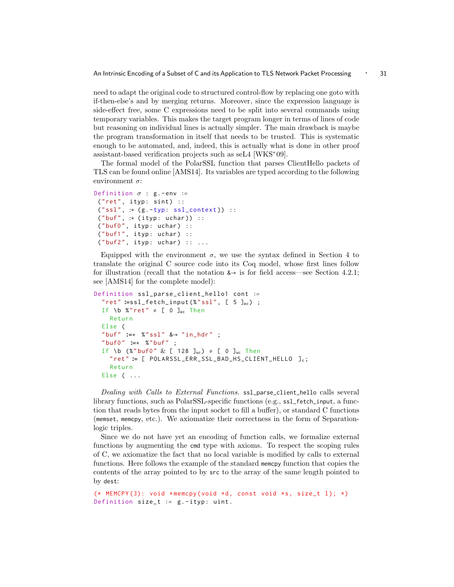An Intrinsic Encoding of a Subset of C and its Application to TLS Network Packet Processing 
: 31

need to adapt the original code to structured control-flow by replacing one goto with if-then-else's and by merging returns. Moreover, since the expression language is side-effect free, some C expressions need to be split into several commands using temporary variables. This makes the target program longer in terms of lines of code but reasoning on individual lines is actually simpler. The main drawback is maybe the program transformation in itself that needs to be trusted. This is systematic enough to be automated, and, indeed, this is actually what is done in other proof assistant-based verification projects such as seL4 [WKS<sup>+</sup> 09].

The formal model of the PolarSSL function that parses ClientHello packets of TLS can be found online [AMS14]. Its variables are typed according to the following environment  $\sigma$ :

```
Definition \sigma : g.-env :=
 ("ret", ityp: sint) ::("ssl", :: (g.-typ: ss1\_context)) ::("buf", :: (ityp: uchar)) ::("buf0", ityp: uchar) ::
 ("buf1", ityp: uchar) ::
 ("buf2", ityp: uchar) :: ...
```
Equipped with the environment  $\sigma$ , we use the syntax defined in Section 4 to translate the original C source code into its Coq model, whose first lines follow for illustration (recall that the notation  $\lambda \rightarrow$  is for field access—see Section 4.2.1; see [AMS14] for the complete model):

```
Definition ssl_parse_client_hello1 cont ∶=
  " ret " ∶=ssl_fetch_input (%"ssl", [ 5 ]sc ) ;
  If \b %"ret" \neq [ 0 ]<sub>sc</sub> Then
    Return
  Else (
  " buf " ∶=∗ %" ssl " &→ " in_hdr " ;
  " buf0 " ∶=∗ %" buf " ;
  If \b (%"buf0" \& [ 128 ]uc) \neq [ 0 ]uc Then
    " ret " ∶= [ POLARSSL_ERR_SSL_BAD_HS_CLIENT_HELLO ]c ;
    Return
  Else ( ...
```
Dealing with Calls to External Functions. ssl\_parse\_client\_hello calls several library functions, such as PolarSSL-specific functions (e.g., ssl\_fetch\_input, a function that reads bytes from the input socket to fill a buffer), or standard C functions (memset, memcpy, etc.). We axiomatize their correctness in the form of Separationlogic triples.

Since we do not have yet an encoding of function calls, we formalize external functions by augmenting the cmd type with axioms. To respect the scoping rules of C, we axiomatize the fact that no local variable is modified by calls to external functions. Here follows the example of the standard memcpy function that copies the contents of the array pointed to by src to the array of the same length pointed to by dest:

```
(* MEMCPY (3): void * memcpy ( void *d, const void *s, size_t l); *)
Definition size_t := g.-ityp: uint.
```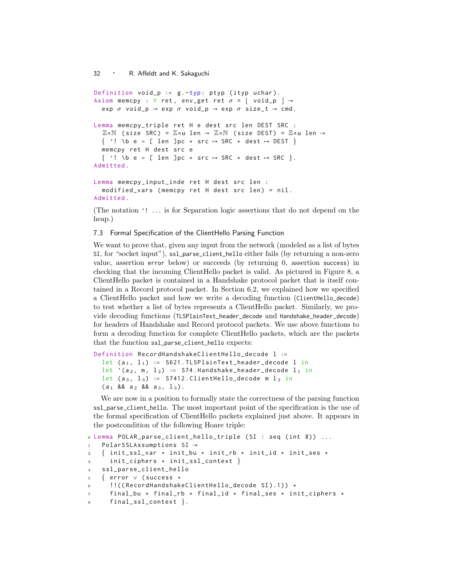```
Definition void_p ∶= g . -typ: ptyp ( ityp uchar ).
Axiom memcpy : \forall ret, env_get ret \sigma = |\nabla \text{void}\_p| \rightarrowexp \sigma void_p \rightarrow exp \sigma void_p \rightarrow exp \sigma size_t \rightarrow cmd.
Lemma memcpy_triple ret H e dest src len DEST SRC :
   \mathbb{Z} \triangleleft \mathbb{N} (size SRC) = \mathbb{Z} \triangleleft u len \rightarrow \mathbb{Z} \triangleleft \mathbb{N} (size DEST) = \mathbb{Z} \triangleleft u len \rightarrow\{ '! \b e = [ len ]pc \star src \mapsto SRC \star dest \mapsto DEST \}memcpy ret H dest src e
   \{ '! \text{ b } e = [ \text{ len } ]pc \star src \mapsto SRC \star dest \mapsto SRC \}.Admitted .
Lemma memcpy_input_inde ret H dest src len :
   modified_vars (memcpy ret H dest src len) = nil.
```
Admitted .

(The notation '! ... is for Separation logic assertions that do not depend on the heap.)

## 7.3 Formal Specification of the ClientHello Parsing Function

We want to prove that, given any input from the network (modeled as a list of bytes SI, for "socket input"), ssl\_parse\_client\_hello either fails (by returning a non-zero value, assertion error below) or succeeds (by returning 0, assertion success) in checking that the incoming ClientHello packet is valid. As pictured in Figure 8, a ClientHello packet is contained in a Handshake protocol packet that is itself contained in a Record protocol packet. In Section 6.2, we explained how we specified a ClientHello packet and how we write a decoding function (ClientHello\_decode) to test whether a list of bytes represents a ClientHello packet. Similarly, we provide decoding functions (TLSPlainText\_header\_decode and Handshake\_header\_decode) for headers of Handshake and Record protocol packets. We use above functions to form a decoding function for complete ClientHello packets, which are the packets that the function ssl\_parse\_client\_hello expects:

```
Definition RecordHandshakeClientHello_decode l ∶=
  let (a_1, 1_1) := S621. TLSPlainText_header_decode l in
  let '(a<sub>2</sub>, m, l_2) := S74. Handshake_header_decode l_1 in
  let (a_3, 1_3) := S7412. ClientHello_decode m l_2 in
  (a_1 88 a_2 88 a_3, 1_3).
```
We are now in a position to formally state the correctness of the parsing function ssl\_parse\_client\_hello. The most important point of the specification is the use of the formal specification of ClientHello packets explained just above. It appears in the postcondition of the following Hoare triple:

```
0 Lemma POLAR_parse_client_hello_triple ( SI : seq ( int 8)) ...
1 PolarSSLAssumptions SI →
2 \{ init_ssl_var \star init_bu \star init_rb \star init_id \star init_ses \star3 init_ciphers * init_ssl_context }
4 ssl_parse_client_hello
5 { error ∨ ( success ⋆
6 !!((RecordHandshakeClientHello_decode SI).1)) *
7 final_bu ★ final_rb ★ final_id ★ final_ses ★ init_ciphers ★
8 final_ssl_context }.
```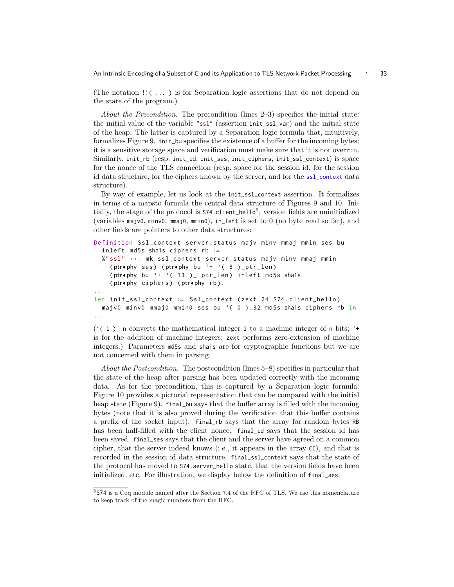An Intrinsic Encoding of a Subset of C and its Application to TLS Network Packet Processing 
∴ 33

(The notation !!( ... ) is for Separation logic assertions that do not depend on the state of the program.)

About the Precondition. The precondition (lines 2–3) specifies the initial state: the initial value of the variable "ssl" (assertion init\_ssl\_var) and the initial state of the heap. The latter is captured by a Separation logic formula that, intuitively, formalizes Figure 9. init\_bu specifies the existence of a buffer for the incoming bytes; it is a sensitive storage space and verification must make sure that it is not overrun. Similarly, init\_rb (resp. init\_id, init\_ses, init\_ciphers, init\_ssl\_context) is space for the nonce of the TLS connection (resp. space for the session id, for the session id data structure, for the ciphers known by the server, and for the ssl\_context data structure).

By way of example, let us look at the init\_ssl\_context assertion. It formalizes in terms of a mapsto formula the central data structure of Figures 9 and 10. Initially, the stage of the protocol is  $574$ .client\_hello<sup>5</sup>, version fields are uninitialized (variables majv0, minv0, mmaj0, mmin0), in\_left is set to 0 (no byte read so far), and other fields are pointers to other data structures:

```
Definition Ssl_context server_status majv minv mmaj mmin ses bu
  inleft md5s sha1s ciphers rb ∶=
  \%" ssl" \mapsto<sub>1</sub> mk_ssl_context server_status majv minv mmaj mmin
    (ptr∢phy ses) (ptr∢phy bu '+ '( 8 )_ptr_len)
    (ptr∢phy bu '+ '( 13 )_ ptr_len) inleft md5s sha1s
    (ptr◂phy ciphers ) (ptr◂phy rb ).
...
let init_ssl_context ∶= Ssl_context ( zext 24 S74 . client_hello )
  majv0 minv0 mmaj0 mmin0 ses bu '( 0 ) _32 md5s sha1s ciphers rb in
...
```
 $($  ( $\in$  i  $)$  n converts the mathematical integer i to a machine integer of n bits;  $\cdot$ is for the addition of machine integers; zext performs zero-extension of machine integers.) Parameters md5s and sha1s are for cryptographic functions but we are not concerned with them in parsing.

About the Postcondition. The postcondition (lines 5–8) specifies in particular that the state of the heap after parsing has been updated correctly with the incoming data. As for the precondition, this is captured by a Separation logic formula: Figure 10 provides a pictorial representation that can be compared with the initial heap state (Figure 9). final\_bu says that the buffer array is filled with the incoming bytes (note that it is also proved during the verification that this buffer contains a prefix of the socket input). final\_rb says that the array for random bytes RB has been half-filled with the client nonce. final\_id says that the session id has been saved. final\_ses says that the client and the server have agreed on a common cipher, that the server indeed knows (i.e., it appears in the array CI), and that is recorded in the session id data structure. final\_ssl\_context says that the state of the protocol has moved to S74.server\_hello state, that the version fields have been initialized, etc. For illustration, we display below the definition of final\_ses:

<sup>5</sup>S74 is a Coq module named after the Section 7.4 of the RFC of TLS. We use this nomenclature to keep track of the magic numbers from the RFC.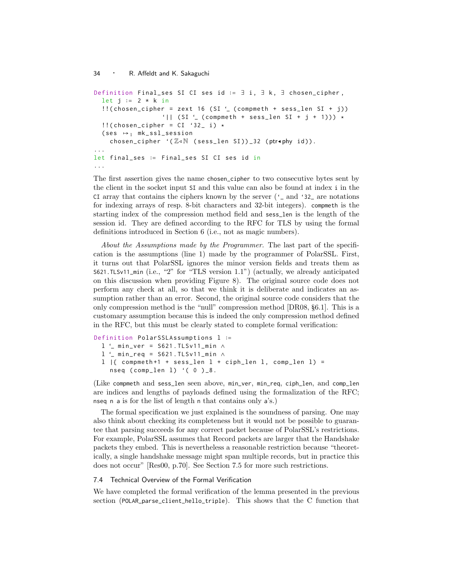```
Definition Final_ses SI CI ses id := ∃ i, ∃ k, ∃ chosen_cipher,
  let j := 2 * k in
  ! (chosen_cipher = zext 16 (SI \prime (compmeth + sess_len SI + j))
                  '|| (SI ' (compreth + sess\_len SI + j + 1))) *!!( chosen_cipher = CI '32 i) *
  (ses \rightarrow_1 m k_s s l_s e s s i o nchosen_cipher '(Z∢N (sess_len SI))_32 (ptr∢phy id)).
...
let final_ses ∶= Final_ses SI CI ses id in
...
```
The first assertion gives the name chosen\_cipher to two consecutive bytes sent by the client in the socket input SI and this value can also be found at index i in the CI array that contains the ciphers known by the server ('\_ and '32\_ are notations for indexing arrays of resp. 8-bit characters and 32-bit integers). compmeth is the starting index of the compression method field and sess\_len is the length of the session id. They are defined according to the RFC for TLS by using the formal definitions introduced in Section 6 (i.e., not as magic numbers).

About the Assumptions made by the Programmer. The last part of the specification is the assumptions (line 1) made by the programmer of PolarSSL. First, it turns out that PolarSSL ignores the minor version fields and treats them as S621.TLSv11\_min (i.e., "2" for "TLS version 1.1") (actually, we already anticipated on this discussion when providing Figure 8). The original source code does not perform any check at all, so that we think it is deliberate and indicates an assumption rather than an error. Second, the original source code considers that the only compression method is the "null" compression method [DR08, §6.1]. This is a customary assumption because this is indeed the only compression method defined in the RFC, but this must be clearly stated to complete formal verification:

```
Definition PolarSSLAssumptions l ∶=
 l '_ min_ver = S621 . TLSv11_min ∧
  l '_ min_req = S621 . TLSv11_min ∧
  l |{ compmeth+1 + sess_len l + ciph_len l, comp_len l) =
    nseq (comp_len 1) '(0)_8.
```
(Like compmeth and sess\_len seen above, min\_ver, min\_req, ciph\_len, and comp\_len are indices and lengths of payloads defined using the formalization of the RFC; nseq n a is for the list of length n that contains only a's.)

The formal specification we just explained is the soundness of parsing. One may also think about checking its completeness but it would not be possible to guarantee that parsing succeeds for any correct packet because of PolarSSL's restrictions. For example, PolarSSL assumes that Record packets are larger that the Handshake packets they embed. This is nevertheless a reasonable restriction because "theoretically, a single handshake message might span multiple records, but in practice this does not occur" [Res00, p.70]. See Section 7.5 for more such restrictions.

#### 7.4 Technical Overview of the Formal Verification

We have completed the formal verification of the lemma presented in the previous section (POLAR\_parse\_client\_hello\_triple). This shows that the C function that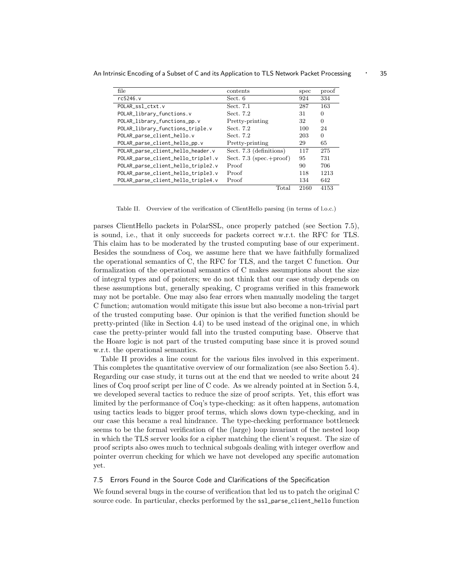| file                               | contents                    | spec | proof    |
|------------------------------------|-----------------------------|------|----------|
| rc5246.v                           | Sect. 6                     | 924  | 334      |
| POLAR ssl ctxt.v                   | Sect. 7.1                   | 287  | 163      |
| POLAR_library_functions.v          | Sect. 7.2                   | 31   | 0        |
| POLAR_library_functions_pp.v       | Pretty-printing             | 32   | 0        |
| POLAR_library_functions_triple.v   | Sect. 7.2                   | 100  | 24       |
| POLAR_parse_client_hello.v         | Sect. 7.2                   | 203  | $\Omega$ |
| POLAR_parse_client_hello_pp.v      | Pretty-printing             | 29   | 65       |
| POLAR_parse_client_hello_header.v  | Sect. 7.3 (definitions)     | 117  | 275      |
| POLAR_parse_client_hello_triple1.v | Sect. 7.3 (spec.+ $proof$ ) | 95   | 731      |
| POLAR_parse_client_hello_triple2.v | Proof                       | 90   | 706      |
| POLAR_parse_client_hello_triple3.v | Proof                       | 118  | 1213     |
| POLAR_parse_client_hello_triple4.v | Proof                       | 134  | 642      |
|                                    | Total                       | 2160 | 4153     |

An Intrinsic Encoding of a Subset of C and its Application to TLS Network Packet Processing 
∴ 35

Table II. Overview of the verification of ClientHello parsing (in terms of l.o.c.)

parses ClientHello packets in PolarSSL, once properly patched (see Section 7.5), is sound, i.e., that it only succeeds for packets correct w.r.t. the RFC for TLS. This claim has to be moderated by the trusted computing base of our experiment. Besides the soundness of Coq, we assume here that we have faithfully formalized the operational semantics of C, the RFC for TLS, and the target C function. Our formalization of the operational semantics of C makes assumptions about the size of integral types and of pointers; we do not think that our case study depends on these assumptions but, generally speaking, C programs verified in this framework may not be portable. One may also fear errors when manually modeling the target C function; automation would mitigate this issue but also become a non-trivial part of the trusted computing base. Our opinion is that the verified function should be pretty-printed (like in Section 4.4) to be used instead of the original one, in which case the pretty-printer would fall into the trusted computing base. Observe that the Hoare logic is not part of the trusted computing base since it is proved sound w.r.t. the operational semantics.

Table II provides a line count for the various files involved in this experiment. This completes the quantitative overview of our formalization (see also Section 5.4). Regarding our case study, it turns out at the end that we needed to write about 24 lines of Coq proof script per line of C code. As we already pointed at in Section 5.4, we developed several tactics to reduce the size of proof scripts. Yet, this effort was limited by the performance of Coq's type-checking: as it often happens, automation using tactics leads to bigger proof terms, which slows down type-checking, and in our case this became a real hindrance. The type-checking performance bottleneck seems to be the formal verification of the (large) loop invariant of the nested loop in which the TLS server looks for a cipher matching the client's request. The size of proof scripts also owes much to technical subgoals dealing with integer overflow and pointer overrun checking for which we have not developed any specific automation yet.

#### 7.5 Errors Found in the Source Code and Clarifications of the Specification

We found several bugs in the course of verification that led us to patch the original C source code. In particular, checks performed by the ssl\_parse\_client\_hello function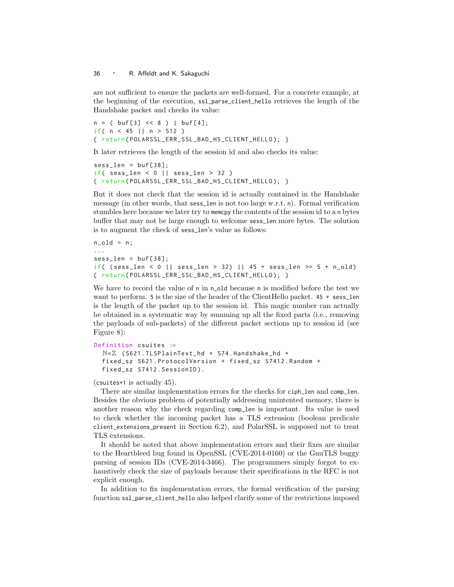are not sufficient to ensure the packets are well-formed. For a concrete example, at the beginning of the execution, ssl\_parse\_client\_hello retrieves the length of the Handshake packet and checks its value:

 $n = (buf[3] << 8) |buf[4];$ if(  $n < 45$  ||  $n > 512$  ) { return ( POLARSSL\_ERR\_SSL\_BAD\_HS\_CLIENT\_HELLO ); }

It later retrieves the length of the session id and also checks its value:

```
sess_len = buf[38];if( sess_len < 0 || sess_len > 32 )
{ return ( POLARSSL_ERR_SSL_BAD_HS_CLIENT_HELLO ); }
```
But it does not check that the session id is actually contained in the Handshake message (in other words, that sess\_len is not too large w.r.t. n). Formal verification stumbles here because we later try to memcpy the contents of the session id to a n bytes buffer that may not be large enough to welcome sess\_len more bytes. The solution is to augment the check of sess\_len's value as follows:

```
n-old = n;
...
sess len = buf[38]:if( (sess_{1}len < 0 \mid \mid sess_{1}len > 32) \mid \mid 45 + sess_{1}len >= 5 + n_{old})
{ return ( POLARSSL_ERR_SSL_BAD_HS_CLIENT_HELLO ); }
```
We have to record the value of n in n\_old because n is modified before the test we want to perform. 5 is the size of the header of the ClientHello packet. 45 + sess\_len is the length of the packet up to the session id. This magic number can actually be obtained in a systematic way by summing up all the fixed parts (i.e., removing the payloads of sub-packets) of the different packet sections up to session id (see Figure 8):

```
Definition csuites ∶=
  N◃Z ( S621 . TLSPlainText_hd + S74 . Handshake_hd +
  fixed_sz S621 . ProtocolVersion + fixed_sz S7412 . Random +
  fixed_sz S7412 . SessionID ).
```
(csuites+1 is actually 45).

There are similar implementation errors for the checks for ciph\_len and comp\_len. Besides the obvious problem of potentially addressing unintented memory, there is another reason why the check regarding comp\_len is important. Its value is used to check whether the incoming packet has a TLS extension (boolean predicate client\_extensions\_present in Section 6.2), and PolarSSL is supposed not to treat TLS extensions.

It should be noted that above implementation errors and their fixes are similar to the Heartbleed bug found in OpenSSL (CVE-2014-0160) or the GnuTLS buggy parsing of session IDs (CVE-2014-3466). The programmers simply forgot to exhaustively check the size of payloads because their specifications in the RFC is not explicit enough.

In addition to fix implementation errors, the formal verification of the parsing function ssl\_parse\_client\_hello also helped clarify some of the restrictions imposed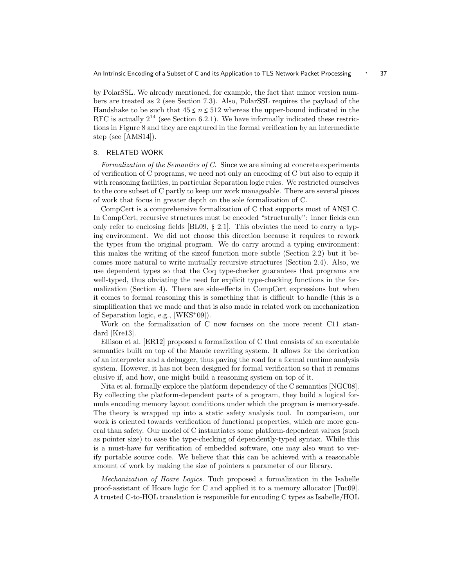by PolarSSL. We already mentioned, for example, the fact that minor version numbers are treated as 2 (see Section 7.3). Also, PolarSSL requires the payload of the Handshake to be such that  $45 \le n \le 512$  whereas the upper-bound indicated in the RFC is actually  $2^{14}$  (see Section 6.2.1). We have informally indicated these restrictions in Figure 8 and they are captured in the formal verification by an intermediate step (see [AMS14]).

#### 8. RELATED WORK

Formalization of the Semantics of C. Since we are aiming at concrete experiments of verification of C programs, we need not only an encoding of C but also to equip it with reasoning facilities, in particular Separation logic rules. We restricted ourselves to the core subset of C partly to keep our work manageable. There are several pieces of work that focus in greater depth on the sole formalization of C.

CompCert is a comprehensive formalization of C that supports most of ANSI C. In CompCert, recursive structures must be encoded "structurally": inner fields can only refer to enclosing fields [BL09,  $\S$  2.1]. This obviates the need to carry a typing environment. We did not choose this direction because it requires to rework the types from the original program. We do carry around a typing environment: this makes the writing of the sizeof function more subtle (Section 2.2) but it becomes more natural to write mutually recursive structures (Section 2.4). Also, we use dependent types so that the Coq type-checker guarantees that programs are well-typed, thus obviating the need for explicit type-checking functions in the formalization (Section 4). There are side-effects in CompCert expressions but when it comes to formal reasoning this is something that is difficult to handle (this is a simplification that we made and that is also made in related work on mechanization of Separation logic, e.g., [WKS<sup>+</sup> 09]).

Work on the formalization of C now focuses on the more recent C11 standard [Kre13].

Ellison et al. [ER12] proposed a formalization of C that consists of an executable semantics built on top of the Maude rewriting system. It allows for the derivation of an interpreter and a debugger, thus paving the road for a formal runtime analysis system. However, it has not been designed for formal verification so that it remains elusive if, and how, one might build a reasoning system on top of it.

Nita et al. formally explore the platform dependency of the C semantics [NGC08]. By collecting the platform-dependent parts of a program, they build a logical formula encoding memory layout conditions under which the program is memory-safe. The theory is wrapped up into a static safety analysis tool. In comparison, our work is oriented towards verification of functional properties, which are more general than safety. Our model of C instantiates some platform-dependent values (such as pointer size) to ease the type-checking of dependently-typed syntax. While this is a must-have for verification of embedded software, one may also want to verify portable source code. We believe that this can be achieved with a reasonable amount of work by making the size of pointers a parameter of our library.

Mechanization of Hoare Logics. Tuch proposed a formalization in the Isabelle proof-assistant of Hoare logic for C and applied it to a memory allocator [Tuc09]. A trusted C-to-HOL translation is responsible for encoding C types as Isabelle/HOL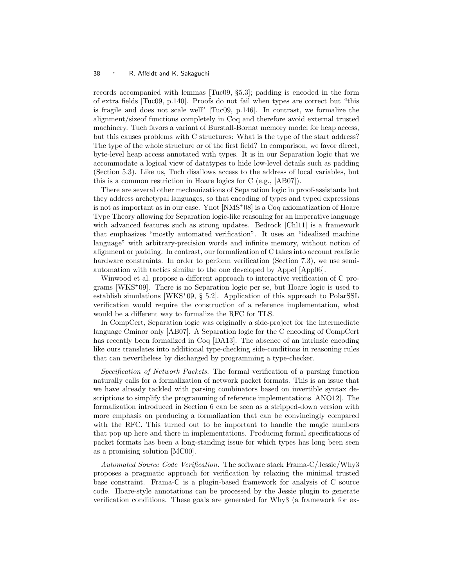records accompanied with lemmas [Tuc09, §5.3]; padding is encoded in the form of extra fields [Tuc09, p.140]. Proofs do not fail when types are correct but "this is fragile and does not scale well" [Tuc09, p.146]. In contrast, we formalize the alignment/sizeof functions completely in Coq and therefore avoid external trusted machinery. Tuch favors a variant of Burstall-Bornat memory model for heap access, but this causes problems with C structures: What is the type of the start address? The type of the whole structure or of the first field? In comparison, we favor direct, byte-level heap access annotated with types. It is in our Separation logic that we accommodate a logical view of datatypes to hide low-level details such as padding (Section 5.3). Like us, Tuch disallows access to the address of local variables, but this is a common restriction in Hoare logics for C (e.g., [AB07]).

There are several other mechanizations of Separation logic in proof-assistants but they address archetypal languages, so that encoding of types and typed expressions is not as important as in our case. Ynot [NMS<sup>+</sup> 08] is a Coq axiomatization of Hoare Type Theory allowing for Separation logic-like reasoning for an imperative language with advanced features such as strong updates. Bedrock [Chl11] is a framework that emphasizes "mostly automated verification". It uses an "idealized machine language" with arbitrary-precision words and infinite memory, without notion of alignment or padding. In contrast, our formalization of C takes into account realistic hardware constraints. In order to perform verification (Section 7.3), we use semiautomation with tactics similar to the one developed by Appel [App06].

Winwood et al. propose a different approach to interactive verification of C programs [WKS<sup>+</sup> 09]. There is no Separation logic per se, but Hoare logic is used to establish simulations [WKS<sup>+</sup> 09, § 5.2]. Application of this approach to PolarSSL verification would require the construction of a reference implementation, what would be a different way to formalize the RFC for TLS.

In CompCert, Separation logic was originally a side-project for the intermediate language Cminor only [AB07]. A Separation logic for the C encoding of CompCert has recently been formalized in Coq [DA13]. The absence of an intrinsic encoding like ours translates into additional type-checking side-conditions in reasoning rules that can nevertheless by discharged by programming a type-checker.

Specification of Network Packets. The formal verification of a parsing function naturally calls for a formalization of network packet formats. This is an issue that we have already tackled with parsing combinators based on invertible syntax descriptions to simplify the programming of reference implementations [ANO12]. The formalization introduced in Section 6 can be seen as a stripped-down version with more emphasis on producing a formalization that can be convincingly compared with the RFC. This turned out to be important to handle the magic numbers that pop up here and there in implementations. Producing formal specifications of packet formats has been a long-standing issue for which types has long been seen as a promising solution [MC00].

Automated Source Code Verification. The software stack Frama-C/Jessie/Why3 proposes a pragmatic approach for verification by relaxing the minimal trusted base constraint. Frama-C is a plugin-based framework for analysis of C source code. Hoare-style annotations can be processed by the Jessie plugin to generate verification conditions. These goals are generated for Why3 (a framework for ex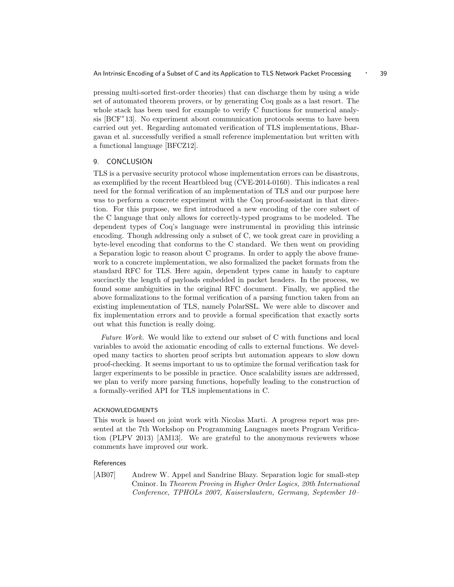pressing multi-sorted first-order theories) that can discharge them by using a wide set of automated theorem provers, or by generating Coq goals as a last resort. The whole stack has been used for example to verify C functions for numerical analysis [BCF<sup>+</sup>13]. No experiment about communication protocols seems to have been carried out yet. Regarding automated verification of TLS implementations, Bhargavan et al. successfully verified a small reference implementation but written with a functional language [BFCZ12].

## 9. CONCLUSION

TLS is a pervasive security protocol whose implementation errors can be disastrous, as exemplified by the recent Heartbleed bug (CVE-2014-0160). This indicates a real need for the formal verification of an implementation of TLS and our purpose here was to perform a concrete experiment with the Coq proof-assistant in that direction. For this purpose, we first introduced a new encoding of the core subset of the C language that only allows for correctly-typed programs to be modeled. The dependent types of Coq's language were instrumental in providing this intrinsic encoding. Though addressing only a subset of C, we took great care in providing a byte-level encoding that conforms to the C standard. We then went on providing a Separation logic to reason about C programs. In order to apply the above framework to a concrete implementation, we also formalized the packet formats from the standard RFC for TLS. Here again, dependent types came in handy to capture succinctly the length of payloads embedded in packet headers. In the process, we found some ambiguities in the original RFC document. Finally, we applied the above formalizations to the formal verification of a parsing function taken from an existing implementation of TLS, namely PolarSSL. We were able to discover and fix implementation errors and to provide a formal specification that exactly sorts out what this function is really doing.

Future Work. We would like to extend our subset of C with functions and local variables to avoid the axiomatic encoding of calls to external functions. We developed many tactics to shorten proof scripts but automation appears to slow down proof-checking. It seems important to us to optimize the formal verification task for larger experiments to be possible in practice. Once scalability issues are addressed, we plan to verify more parsing functions, hopefully leading to the construction of a formally-verified API for TLS implementations in C.

#### ACKNOWLEDGMENTS

This work is based on joint work with Nicolas Marti. A progress report was presented at the 7th Workshop on Programming Languages meets Program Verification (PLPV 2013) [AM13]. We are grateful to the anonymous reviewers whose comments have improved our work.

#### References

[AB07] Andrew W. Appel and Sandrine Blazy. Separation logic for small-step Cminor. In Theorem Proving in Higher Order Logics, 20th International Conference, TPHOLs 2007, Kaiserslautern, Germany, September 10–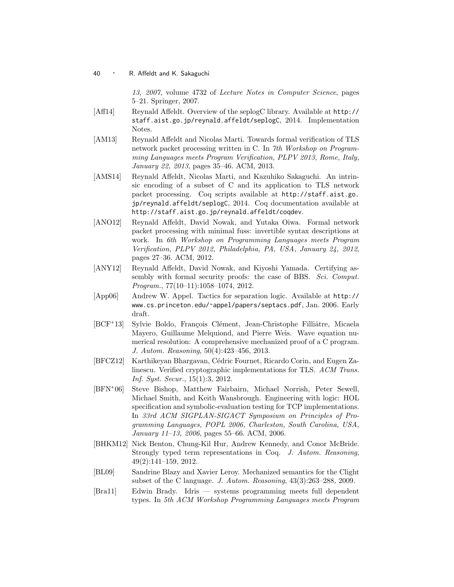13, 2007, volume 4732 of Lecture Notes in Computer Science, pages 5–21. Springer, 2007.

- [Aff14] Reynald Affeldt. Overview of the seplogC library. Available at http:// staff.aist.go.jp/reynald.affeldt/seplogC, 2014. Implementation Notes.
- [AM13] Reynald Affeldt and Nicolas Marti. Towards formal verification of TLS network packet processing written in C. In 7th Workshop on Programming Languages meets Program Verification, PLPV 2013, Rome, Italy, January 22, 2013, pages 35–46. ACM, 2013.
- [AMS14] Reynald Affeldt, Nicolas Marti, and Kazuhiko Sakaguchi. An intrinsic encoding of a subset of C and its application to TLS network packet processing. Coq scripts available at http://staff.aist.go. jp/reynald.affeldt/seplogC, 2014. Coq documentation available at http://staff.aist.go.jp/reynald.affeldt/coqdev.
- [ANO12] Reynald Affeldt, David Nowak, and Yutaka Oiwa. Formal network packet processing with minimal fuss: invertible syntax descriptions at work. In 6th Workshop on Programming Languages meets Program Verification, PLPV 2012, Philadelphia, PA, USA, January 24, 2012, pages 27–36. ACM, 2012.
- [ANY12] Reynald Affeldt, David Nowak, and Kiyoshi Yamada. Certifying assembly with formal security proofs: the case of BBS. Sci. Comput. Program., 77(10–11):1058–1074, 2012.
- [App06] Andrew W. Appel. Tactics for separation logic. Available at http:// www.cs.princeton.edu/˜appel/papers/septacs.pdf, Jan. 2006. Early draft.
- $|BCF^+13|$ Sylvie Boldo, François Clément, Jean-Christophe Filliâtre, Micaela Mayero, Guillaume Melquiond, and Pierre Weis. Wave equation numerical resolution: A comprehensive mechanized proof of a C program. J. Autom. Reasoning, 50(4):423–456, 2013.
- [BFCZ12] Karthikeyan Bhargavan, C´edric Fournet, Ricardo Corin, and Eugen Zalinescu. Verified cryptographic implementations for TLS. ACM Trans. Inf. Syst. Secur., 15(1):3, 2012.
- $[BFN+06]$ Steve Bishop, Matthew Fairbairn, Michael Norrish, Peter Sewell, Michael Smith, and Keith Wansbrough. Engineering with logic: HOL specification and symbolic-evaluation testing for TCP implementations. In 33rd ACM SIGPLAN-SIGACT Symposium on Principles of Programming Languages, POPL 2006, Charleston, South Carolina, USA, January 11–13, 2006, pages 55–66. ACM, 2006.
- [BHKM12] Nick Benton, Chung-Kil Hur, Andrew Kennedy, and Conor McBride. Strongly typed term representations in Coq. J. Autom. Reasoning, 49(2):141–159, 2012.
- [BL09] Sandrine Blazy and Xavier Leroy. Mechanized semantics for the Clight subset of the C language. J. Autom. Reasoning, 43(3):263–288, 2009.
- [Bra11] Edwin Brady. Idris systems programming meets full dependent types. In 5th ACM Workshop Programming Languages meets Program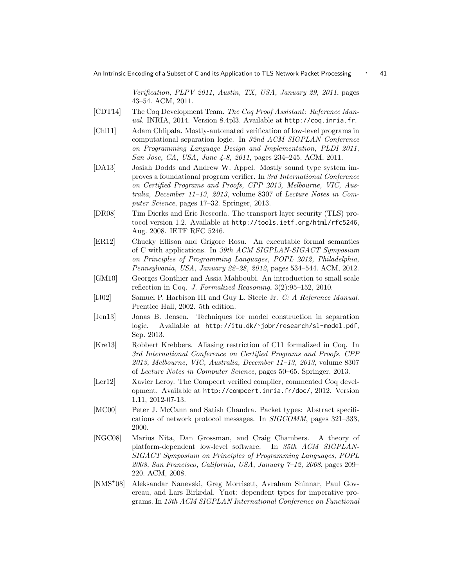Verification, PLPV 2011, Austin, TX, USA, January 29, 2011, pages 43–54. ACM, 2011.

- [CDT14] The Coq Development Team. The Coq Proof Assistant: Reference Manual. INRIA, 2014. Version 8.4pl3. Available at http://coq.inria.fr.
- [Chl11] Adam Chlipala. Mostly-automated verification of low-level programs in computational separation logic. In 32nd ACM SIGPLAN Conference on Programming Language Design and Implementation, PLDI 2011, San Jose, CA, USA, June 4-8, 2011, pages 234–245. ACM, 2011.
- [DA13] Josiah Dodds and Andrew W. Appel. Mostly sound type system improves a foundational program verifier. In 3rd International Conference on Certified Programs and Proofs, CPP 2013, Melbourne, VIC, Australia, December 11–13, 2013, volume 8307 of Lecture Notes in Computer Science, pages 17–32. Springer, 2013.
- [DR08] Tim Dierks and Eric Rescorla. The transport layer security (TLS) protocol version 1.2. Available at http://tools.ietf.org/html/rfc5246, Aug. 2008. IETF RFC 5246.
- [ER12] Chucky Ellison and Grigore Rosu. An executable formal semantics of C with applications. In 39th ACM SIGPLAN-SIGACT Symposium on Principles of Programming Languages, POPL 2012, Philadelphia, Pennsylvania, USA, January 22–28, 2012, pages 534–544. ACM, 2012.
- [GM10] Georges Gonthier and Assia Mahboubi. An introduction to small scale reflection in Coq. J. Formalized Reasoning, 3(2):95–152, 2010.
- [IJ02] Samuel P. Harbison III and Guy L. Steele Jr. C: A Reference Manual. Prentice Hall, 2002. 5th edition.
- [Jen13] Jonas B. Jensen. Techniques for model construction in separation logic. Available at http://itu.dk/˜jobr/research/sl-model.pdf, Sep. 2013.
- [Kre13] Robbert Krebbers. Aliasing restriction of C11 formalized in Coq. In 3rd International Conference on Certified Programs and Proofs, CPP 2013, Melbourne, VIC, Australia, December 11–13, 2013, volume 8307 of Lecture Notes in Computer Science, pages 50–65. Springer, 2013.
- [Ler12] Xavier Leroy. The Compcert verified compiler, commented Coq development. Available at http://compcert.inria.fr/doc/, 2012. Version 1.11, 2012-07-13.
- [MC00] Peter J. McCann and Satish Chandra. Packet types: Abstract specifications of network protocol messages. In SIGCOMM, pages 321–333, 2000.
- [NGC08] Marius Nita, Dan Grossman, and Craig Chambers. A theory of platform-dependent low-level software. In 35th ACM SIGPLAN-SIGACT Symposium on Principles of Programming Languages, POPL 2008, San Francisco, California, USA, January 7–12, 2008, pages 209– 220. ACM, 2008.
- $[NMS+08]$ 08] Aleksandar Nanevski, Greg Morrisett, Avraham Shinnar, Paul Govereau, and Lars Birkedal. Ynot: dependent types for imperative programs. In 13th ACM SIGPLAN International Conference on Functional